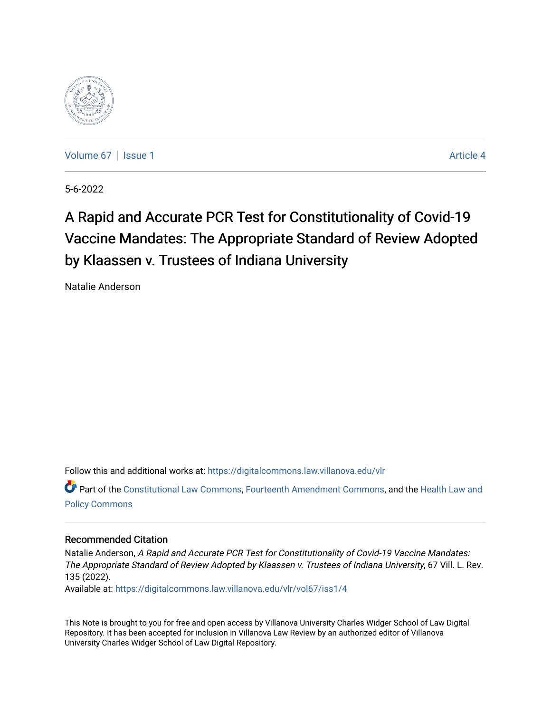

[Volume 67](https://digitalcommons.law.villanova.edu/vlr/vol67) | [Issue 1](https://digitalcommons.law.villanova.edu/vlr/vol67/iss1) Article 4

5-6-2022

# A Rapid and Accurate PCR Test for Constitutionality of Covid-19 Vaccine Mandates: The Appropriate Standard of Review Adopted by Klaassen v. Trustees of Indiana University

Natalie Anderson

Follow this and additional works at: [https://digitalcommons.law.villanova.edu/vlr](https://digitalcommons.law.villanova.edu/vlr?utm_source=digitalcommons.law.villanova.edu%2Fvlr%2Fvol67%2Fiss1%2F4&utm_medium=PDF&utm_campaign=PDFCoverPages)

Part of the [Constitutional Law Commons,](http://network.bepress.com/hgg/discipline/589?utm_source=digitalcommons.law.villanova.edu%2Fvlr%2Fvol67%2Fiss1%2F4&utm_medium=PDF&utm_campaign=PDFCoverPages) [Fourteenth Amendment Commons](http://network.bepress.com/hgg/discipline/1116?utm_source=digitalcommons.law.villanova.edu%2Fvlr%2Fvol67%2Fiss1%2F4&utm_medium=PDF&utm_campaign=PDFCoverPages), and the [Health Law and](http://network.bepress.com/hgg/discipline/901?utm_source=digitalcommons.law.villanova.edu%2Fvlr%2Fvol67%2Fiss1%2F4&utm_medium=PDF&utm_campaign=PDFCoverPages) [Policy Commons](http://network.bepress.com/hgg/discipline/901?utm_source=digitalcommons.law.villanova.edu%2Fvlr%2Fvol67%2Fiss1%2F4&utm_medium=PDF&utm_campaign=PDFCoverPages)

# Recommended Citation

Natalie Anderson, A Rapid and Accurate PCR Test for Constitutionality of Covid-19 Vaccine Mandates: The Appropriate Standard of Review Adopted by Klaassen v. Trustees of Indiana University, 67 Vill. L. Rev. 135 (2022).

Available at: [https://digitalcommons.law.villanova.edu/vlr/vol67/iss1/4](https://digitalcommons.law.villanova.edu/vlr/vol67/iss1/4?utm_source=digitalcommons.law.villanova.edu%2Fvlr%2Fvol67%2Fiss1%2F4&utm_medium=PDF&utm_campaign=PDFCoverPages) 

This Note is brought to you for free and open access by Villanova University Charles Widger School of Law Digital Repository. It has been accepted for inclusion in Villanova Law Review by an authorized editor of Villanova University Charles Widger School of Law Digital Repository.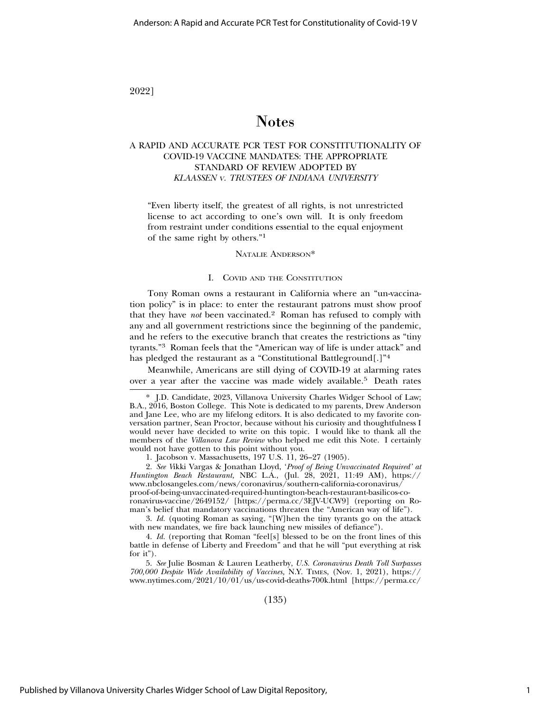### 2022]

# Notes

### A RAPID AND ACCURATE PCR TEST FOR CONSTITUTIONALITY OF COVID-19 VACCINE MANDATES: THE APPROPRIATE STANDARD OF REVIEW ADOPTED BY *KLAASSEN* <sup>V</sup>. *TRUSTEES OF INDIANA UNIVERSITY*

"Even liberty itself, the greatest of all rights, is not unrestricted license to act according to one's own will. It is only freedom from restraint under conditions essential to the equal enjoyment of the same right by others."1

NATALIE ANDERSON\*

#### I. COVID AND THE CONSTITUTION

Tony Roman owns a restaurant in California where an "un-vaccination policy" is in place: to enter the restaurant patrons must show proof that they have *not* been vaccinated.2 Roman has refused to comply with any and all government restrictions since the beginning of the pandemic, and he refers to the executive branch that creates the restrictions as "tiny tyrants."3 Roman feels that the "American way of life is under attack" and has pledged the restaurant as a "Constitutional Battleground[.]"<sup>4</sup>

Meanwhile, Americans are still dying of COVID-19 at alarming rates over a year after the vaccine was made widely available.5 Death rates

1. Jacobson v. Massachusetts, 197 U.S. 11, 26–27 (1905).

2. *See V*ikki Vargas & Jonathan Lloyd, '*Proof of Being Unvaccinated Required' at Huntington Beach Restaurant,* NBC L.A., (Jul. 28, 2021, 11:49 AM), https:// www.nbclosangeles.com/news/coronavirus/southern-california-coronavirus/ proof-of-being-unvaccinated-required-huntington-beach-restaurant-basilicos-coronavirus-vaccine/2649152/ [https://perma.cc/3EJV-UCW9] (reporting on Roman's belief that mandatory vaccinations threaten the "American way of life").

3. *Id.* (quoting Roman as saying, "[W]hen the tiny tyrants go on the attack with new mandates, we fire back launching new missiles of defiance").

4. *Id.* (reporting that Roman "feel[s] blessed to be on the front lines of this battle in defense of Liberty and Freedom" and that he will "put everything at risk for it").

5. *See* Julie Bosman & Lauren Leatherby, *U.S. Coronavirus Death Toll Surpasses 700,000 Despite Wide Availability of Vaccines,* N.Y. TIMES, (Nov. 1, 2021), https:// www.nytimes.com/2021/10/01/us/us-covid-deaths-700k.html [https://perma.cc/

(135)

<sup>\*</sup> J.D. Candidate, 2023, Villanova University Charles Widger School of Law; B.A., 2016, Boston College. This Note is dedicated to my parents, Drew Anderson and Jane Lee, who are my lifelong editors. It is also dedicated to my favorite conversation partner, Sean Proctor, because without his curiosity and thoughtfulness I would never have decided to write on this topic. I would like to thank all the members of the *Villanova Law Review* who helped me edit this Note. I certainly would not have gotten to this point without you.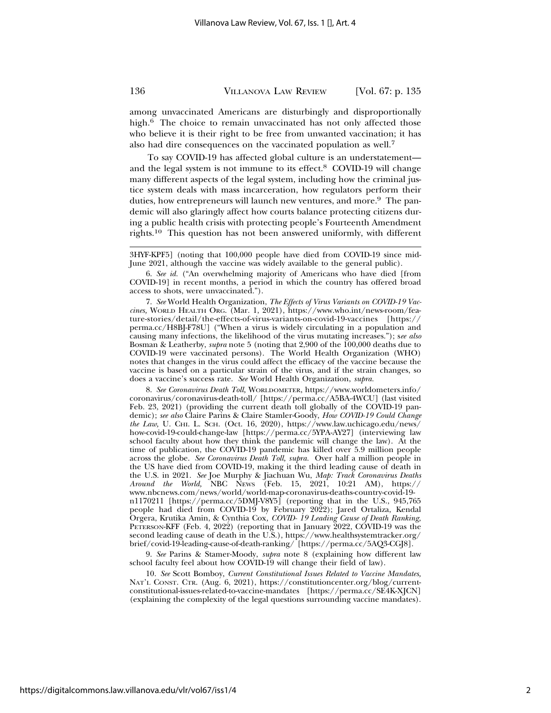among unvaccinated Americans are disturbingly and disproportionally high.<sup>6</sup> The choice to remain unvaccinated has not only affected those who believe it is their right to be free from unwanted vaccination; it has also had dire consequences on the vaccinated population as well.7

To say COVID-19 has affected global culture is an understatement and the legal system is not immune to its effect.8 COVID-19 will change many different aspects of the legal system, including how the criminal justice system deals with mass incarceration, how regulators perform their duties, how entrepreneurs will launch new ventures, and more.<sup>9</sup> The pandemic will also glaringly affect how courts balance protecting citizens during a public health crisis with protecting people's Fourteenth Amendment rights.10 This question has not been answered uniformly, with different

7. *See* World Health Organization, *The Effects of Virus Variants on COVID-19 Vaccines,* WORLD HEALTH ORG. (Mar. 1, 2021), https://www.who.int/news-room/feature-stories/detail/the-effects-of-virus-variants-on-covid-19-vaccines [https:// perma.cc/H8BJ-F78U] ("When a virus is widely circulating in a population and causing many infections, the likelihood of the virus mutating increases."); s*ee also* Bosman & Leatherby, *supra* note 5 (noting that 2,900 of the 100,000 deaths due to COVID-19 were vaccinated persons). The World Health Organization (WHO) notes that changes in the virus could affect the efficacy of the vaccine because the vaccine is based on a particular strain of the virus, and if the strain changes, so does a vaccine's success rate. *See* World Health Organization, *supra.*

8. *See Coronavirus Death Toll,* WORLDOMETER, https://www.worldometers.info/ coronavirus/coronavirus-death-toll/ [https://perma.cc/A5BA-4WCU] (last visited Feb. 23, 2021) (providing the current death toll globally of the COVID-19 pandemic); *see also* Claire Parins & Claire Stamler-Goody, *How COVID-19 Could Change the Law,* U. CHI. L. SCH. (Oct. 16, 2020), https://www.law.uchicago.edu/news/ how-covid-19-could-change-law [https://perma.cc/5YPA-AY27] (interviewing law school faculty about how they think the pandemic will change the law). At the time of publication, the COVID-19 pandemic has killed over 5.9 million people across the globe. *See Coronavirus Death Toll, supra.* Over half a million people in the US have died from COVID-19, making it the third leading cause of death in the U.S. in 2021. *See* Joe Murphy & Jiachuan Wu, *Map: Track Coronavirus Deaths Around the World,* NBC NEWS (Feb. 15, 2021, 10:21 AM), https:// www.nbcnews.com/news/world/world-map-coronavirus-deaths-country-covid-19 n1170211 [https://perma.cc/5DMJ-V8Y5] (reporting that in the U.S., 945,765 people had died from COVID-19 by February 2022); Jared Ortaliza, Kendal Orgera, Krutika Amin, & Cynthia Cox*, COVID- 19 Leading Cause of Death Ranking,* PETERSON-KFF (Feb. 4, 2022) (reporting that in January 2022, COVID-19 was the second leading cause of death in the U.S.), https://www.healthsystemtracker.org/ brief/covid-19-leading-cause-of-death-ranking/ [https://perma.cc/5AQ3-CGJ8].

9. *See* Parins & Stamer-Moody, *supra* note 8 (explaining how different law school faculty feel about how COVID-19 will change their field of law).

10. *See* Scott Bomboy, *Current Constitutional Issues Related to Vaccine Mandates,* NAT'L CONST. CTR. (Aug. 6, 2021), https://constitutioncenter.org/blog/currentconstitutional-issues-related-to-vaccine-mandates [https://perma.cc/SE4K-XJCN] (explaining the complexity of the legal questions surrounding vaccine mandates).

<sup>3</sup>HYF-KPF5] (noting that 100,000 people have died from COVID-19 since mid-June 2021, although the vaccine was widely available to the general public).

<sup>6.</sup> *See id.* ("An overwhelming majority of Americans who have died [from COVID-19] in recent months, a period in which the country has offered broad access to shots, were unvaccinated.").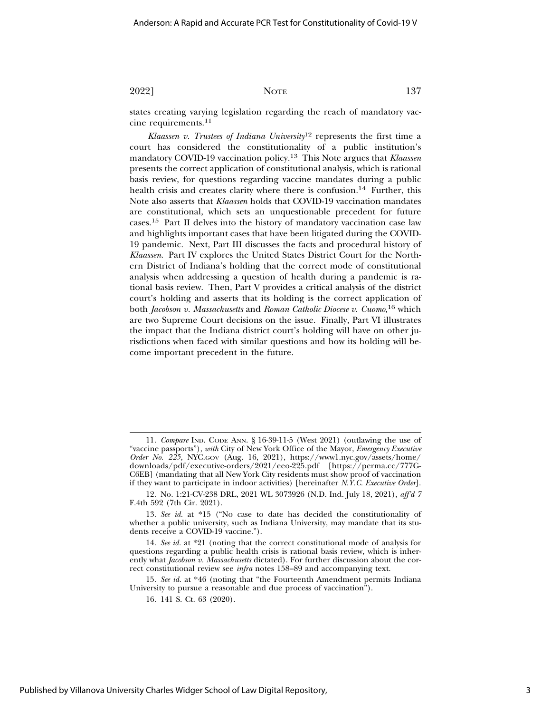states creating varying legislation regarding the reach of mandatory vaccine requirements.11

*Klaassen v. Trustees of Indiana University*12 represents the first time a court has considered the constitutionality of a public institution's mandatory COVID-19 vaccination policy.13 This Note argues that *Klaassen* presents the correct application of constitutional analysis, which is rational basis review, for questions regarding vaccine mandates during a public health crisis and creates clarity where there is confusion.<sup>14</sup> Further, this Note also asserts that *Klaassen* holds that COVID-19 vaccination mandates are constitutional, which sets an unquestionable precedent for future cases.15 Part II delves into the history of mandatory vaccination case law and highlights important cases that have been litigated during the COVID-19 pandemic. Next, Part III discusses the facts and procedural history of *Klaassen*. Part IV explores the United States District Court for the Northern District of Indiana's holding that the correct mode of constitutional analysis when addressing a question of health during a pandemic is rational basis review. Then, Part V provides a critical analysis of the district court's holding and asserts that its holding is the correct application of both *Jacobson v. Massachusetts* and *Roman Catholic Diocese v. Cuomo*, 16 which are two Supreme Court decisions on the issue. Finally, Part VI illustrates the impact that the Indiana district court's holding will have on other jurisdictions when faced with similar questions and how its holding will become important precedent in the future.

15. *See id.* at \*46 (noting that "the Fourteenth Amendment permits Indiana University to pursue a reasonable and due process of vaccination").

<sup>11.</sup> *Compare* IND. CODE ANN. § 16-39-11-5 (West 2021) (outlawing the use of "vaccine passports"), *with* City of New York Office of the Mayor, *Emergency Executive Order No. 225*, NYC.GOV (Aug. 16, 2021), https://www1.nyc.gov/assets/home/ downloads/pdf/executive-orders/2021/eeo-225.pdf [https://perma.cc/777G-C6EB] (mandating that all New York City residents must show proof of vaccination if they want to participate in indoor activities) [hereinafter *N.Y.C. Executive Order*].

<sup>12.</sup> No. 1:21-CV-238 DRL, 2021 WL 3073926 (N.D. Ind. July 18, 2021), *aff'd 7* F.4th 592 (7th Cir. 2021).

<sup>13.</sup> *See id.* at \*15 ("No case to date has decided the constitutionality of whether a public university, such as Indiana University, may mandate that its students receive a COVID-19 vaccine.").

<sup>14.</sup> *See id.* at \*21 (noting that the correct constitutional mode of analysis for questions regarding a public health crisis is rational basis review, which is inherently what *Jacobson v. Massachusetts* dictated). For further discussion about the correct constitutional review see *infra* notes 158–89 and accompanying text.

<sup>16. 141</sup> S. Ct. 63 (2020).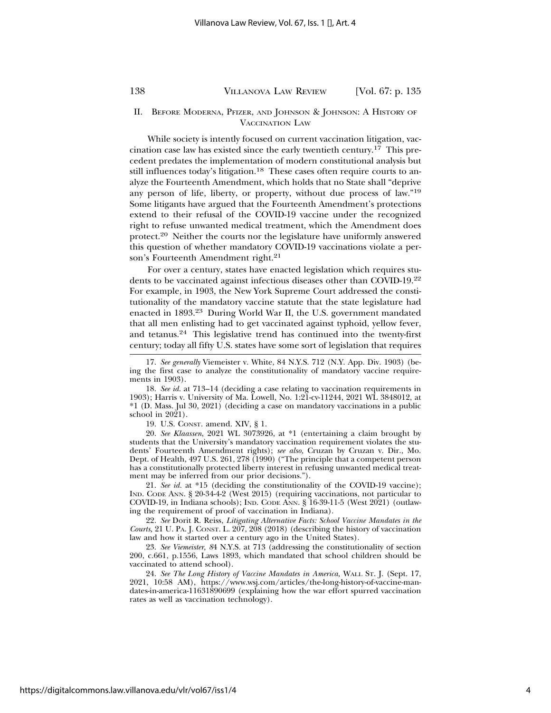#### II. BEFORE MODERNA, PFIZER, AND JOHNSON & JOHNSON: A HISTORY OF VACCINATION LAW

While society is intently focused on current vaccination litigation, vaccination case law has existed since the early twentieth century.<sup>17</sup> This precedent predates the implementation of modern constitutional analysis but still influences today's litigation.<sup>18</sup> These cases often require courts to analyze the Fourteenth Amendment, which holds that no State shall "deprive any person of life, liberty, or property, without due process of law."19 Some litigants have argued that the Fourteenth Amendment's protections extend to their refusal of the COVID-19 vaccine under the recognized right to refuse unwanted medical treatment, which the Amendment does protect.20 Neither the courts nor the legislature have uniformly answered this question of whether mandatory COVID-19 vaccinations violate a person's Fourteenth Amendment right.<sup>21</sup>

For over a century, states have enacted legislation which requires students to be vaccinated against infectious diseases other than COVID-19.22 For example, in 1903, the New York Supreme Court addressed the constitutionality of the mandatory vaccine statute that the state legislature had enacted in 1893.23 During World War II, the U.S. government mandated that all men enlisting had to get vaccinated against typhoid, yellow fever, and tetanus.24 This legislative trend has continued into the twenty-first century; today all fifty U.S. states have some sort of legislation that requires

19. U.S. CONST. amend. XIV, § 1.

20. *See Klaassen*, 2021 WL 3073926, at \*1 (entertaining a claim brought by students that the University's mandatory vaccination requirement violates the students' Fourteenth Amendment rights); *see also,* Cruzan by Cruzan v. Dir., Mo. Dept. of Health, 497 U.S. 261, 278 (1990) ("The principle that a competent person has a constitutionally protected liberty interest in refusing unwanted medical treatment may be inferred from our prior decisions.").

21. *See id.* at \*15 (deciding the constitutionality of the COVID-19 vaccine); IND. CODE ANN. § 20-34-4-2 (West 2015) (requiring vaccinations, not particular to COVID-19, in Indiana schools); IND. CODE ANN. § 16-39-11-5 (West 2021) (outlawing the requirement of proof of vaccination in Indiana).

22. *See* Dorit R. Reiss, *Litigating Alternative Facts: School Vaccine Mandates in the Courts,* 21 U. PA. J. CONST. L. 207, 208 (2018) (describing the history of vaccination law and how it started over a century ago in the United States).

23. *See Viemeister, 8*4 N.Y.S. at 713 (addressing the constitutionality of section 200, c.661, p.1556, Laws 1893, which mandated that school children should be vaccinated to attend school).

24. *See The Long History of Vaccine Mandates in America,* WALL ST. J. (Sept. 17, 2021, 10:58 AM), https://www.wsj.com/articles/the-long-history-of-vaccine-mandates-in-america-11631890699 (explaining how the war effort spurred vaccination rates as well as vaccination technology).

<sup>17.</sup> *See generally* Viemeister v. White, 84 N.Y.S. 712 (N.Y. App. Div. 1903) (being the first case to analyze the constitutionality of mandatory vaccine requirements in 1903).

<sup>18.</sup> *See id.* at 713–14 (deciding a case relating to vaccination requirements in 1903); Harris v. University of Ma. Lowell, No. 1:21-cv-11244, 2021 WL 3848012, at \*1 (D. Mass. Jul 30, 2021) (deciding a case on mandatory vaccinations in a public school in 2021).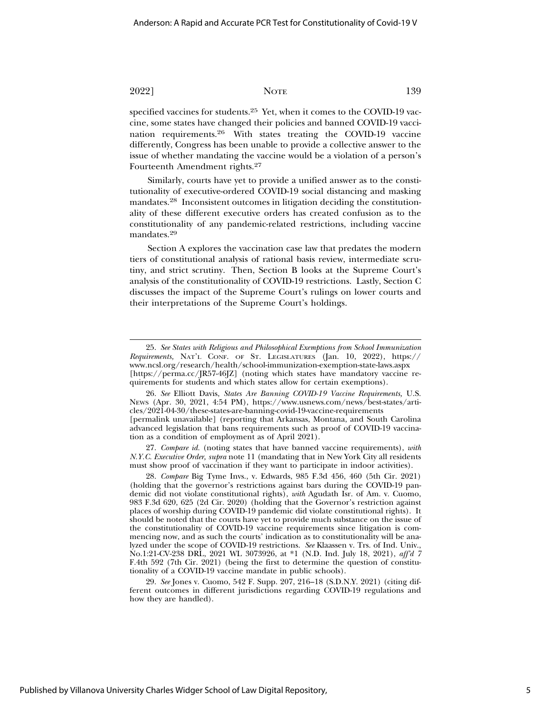specified vaccines for students.25 Yet, when it comes to the COVID-19 vaccine, some states have changed their policies and banned COVID-19 vaccination requirements.26 With states treating the COVID-19 vaccine differently, Congress has been unable to provide a collective answer to the issue of whether mandating the vaccine would be a violation of a person's Fourteenth Amendment rights.27

Similarly, courts have yet to provide a unified answer as to the constitutionality of executive-ordered COVID-19 social distancing and masking mandates.28 Inconsistent outcomes in litigation deciding the constitutionality of these different executive orders has created confusion as to the constitutionality of any pandemic-related restrictions, including vaccine mandates.<sup>29</sup>

Section A explores the vaccination case law that predates the modern tiers of constitutional analysis of rational basis review, intermediate scrutiny, and strict scrutiny. Then, Section B looks at the Supreme Court's analysis of the constitutionality of COVID-19 restrictions. Lastly, Section C discusses the impact of the Supreme Court's rulings on lower courts and their interpretations of the Supreme Court's holdings.

27. *Compare id.* (noting states that have banned vaccine requirements), *with N.Y.C. Executive Order, supra* note 11 (mandating that in New York City all residents must show proof of vaccination if they want to participate in indoor activities).

28. *Compare* Big Tyme Invs., v. Edwards, 985 F.3d 456, 460 (5th Cir. 2021) (holding that the governor's restrictions against bars during the COVID-19 pandemic did not violate constitutional rights), *with* Agudath Isr. of Am. v. Cuomo, 983 F.3d 620, 625 (2d Cir. 2020) (holding that the Governor's restriction against places of worship during COVID-19 pandemic did violate constitutional rights). It should be noted that the courts have yet to provide much substance on the issue of the constitutionality of COVID-19 vaccine requirements since litigation is commencing now, and as such the courts' indication as to constitutionality will be analyzed under the scope of COVID-19 restrictions. *See* Klaassen v. Trs. of Ind. Univ., No.1:21-CV-238 DRL, 2021 WL 3073926, at \*1 (N.D. Ind. July 18, 2021), *aff'd 7* F.4th 592 (7th Cir. 2021) (being the first to determine the question of constitutionality of a COVID-19 vaccine mandate in public schools).

29. *See* Jones v. Cuomo, 542 F. Supp. 207, 216–18 (S.D.N.Y. 2021) (citing different outcomes in different jurisdictions regarding COVID-19 regulations and how they are handled).

<sup>25.</sup> *See States with Religious and Philosophical Exemptions from School Immunization Requirements,* NAT'L CONF. OF ST. LEGISLATURES (Jan. 10, 2022), https:// www.ncsl.org/research/health/school-immunization-exemption-state-laws.aspx [https://perma.cc/JR57-46JZ] (noting which states have mandatory vaccine requirements for students and which states allow for certain exemptions).

<sup>26.</sup> *See* Elliott Davis, *States Are Banning COVID-19 Vaccine Requirements,* U.S. NEWS (Apr. 30, 2021, 4:54 PM), https://www.usnews.com/news/best-states/articles/2021-04-30/these-states-are-banning-covid-19-vaccine-requirements [permalink unavailable] (reporting that Arkansas, Montana, and South Carolina advanced legislation that bans requirements such as proof of COVID-19 vaccination as a condition of employment as of April 2021).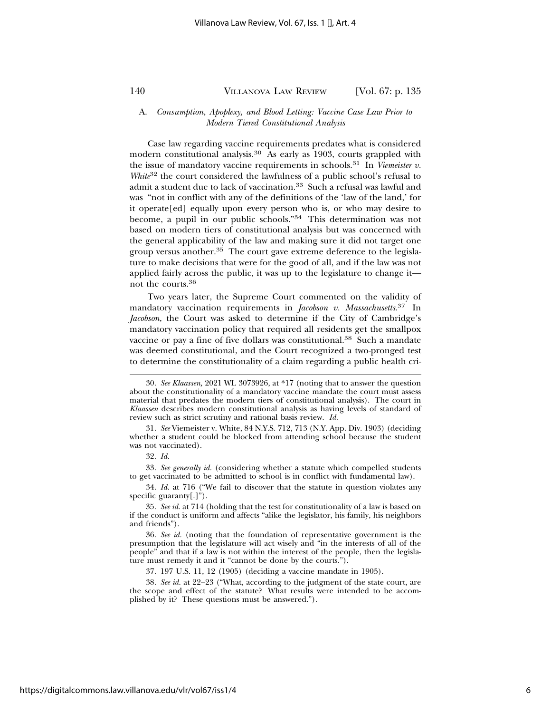#### A. *Consumption, Apoplexy, and Blood Letting: Vaccine Case Law Prior to Modern Tiered Constitutional Analysis*

Case law regarding vaccine requirements predates what is considered modern constitutional analysis.<sup>30</sup> As early as 1903, courts grappled with the issue of mandatory vaccine requirements in schools.31 In *Viemeister v. White*<sup>32</sup> the court considered the lawfulness of a public school's refusal to admit a student due to lack of vaccination.<sup>33</sup> Such a refusal was lawful and was "not in conflict with any of the definitions of the 'law of the land,' for it operate[ed] equally upon every person who is, or who may desire to become, a pupil in our public schools."34 This determination was not based on modern tiers of constitutional analysis but was concerned with the general applicability of the law and making sure it did not target one group versus another.35 The court gave extreme deference to the legislature to make decisions that were for the good of all, and if the law was not applied fairly across the public, it was up to the legislature to change it not the courts.36

Two years later, the Supreme Court commented on the validity of mandatory vaccination requirements in *Jacobson v. Massachusetts*. 37 In *Jacobson*, the Court was asked to determine if the City of Cambridge's mandatory vaccination policy that required all residents get the smallpox vaccine or pay a fine of five dollars was constitutional.38 Such a mandate was deemed constitutional, and the Court recognized a two-pronged test to determine the constitutionality of a claim regarding a public health cri-

33. *See generally id.* (considering whether a statute which compelled students to get vaccinated to be admitted to school is in conflict with fundamental law).

34. *Id.* at 716 ("We fail to discover that the statute in question violates any specific guaranty[.]").

37. 197 U.S. 11, 12 (1905) (deciding a vaccine mandate in 1905).

<sup>30.</sup> *See Klaassen,* 2021 WL 3073926, at \*17 (noting that to answer the question about the constitutionality of a mandatory vaccine mandate the court must assess material that predates the modern tiers of constitutional analysis). The court in *Klaassen* describes modern constitutional analysis as having levels of standard of review such as strict scrutiny and rational basis review. *Id.*

<sup>31.</sup> *See* Viemeister v. White, 84 N.Y.S. 712, 713 (N.Y. App. Div. 1903) (deciding whether a student could be blocked from attending school because the student was not vaccinated).

<sup>32.</sup> *Id.*

<sup>35.</sup> *See id.* at 714 (holding that the test for constitutionality of a law is based on if the conduct is uniform and affects "alike the legislator, his family, his neighbors and friends").

<sup>36.</sup> *See id.* (noting that the foundation of representative government is the presumption that the legislature will act wisely and "in the interests of all of the people" and that if a law is not within the interest of the people, then the legislature must remedy it and it "cannot be done by the courts.").

<sup>38.</sup> *See id.* at 22–23 ("What, according to the judgment of the state court, are the scope and effect of the statute? What results were intended to be accomplished by it? These questions must be answered.").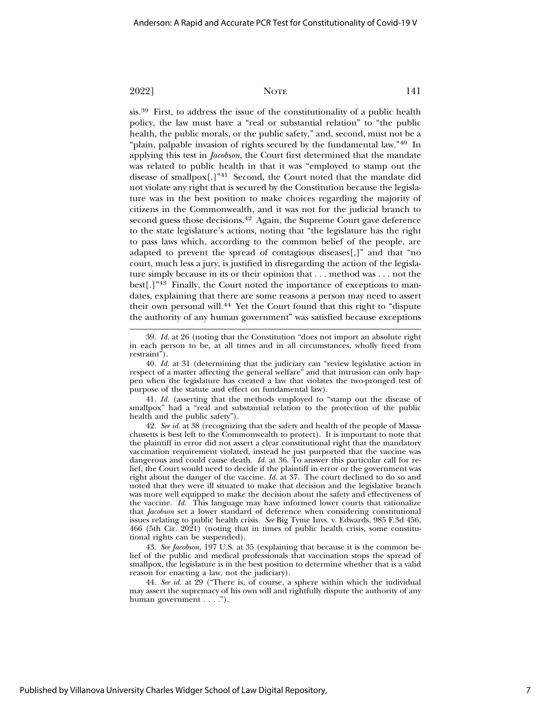sis.39 First, to address the issue of the constitutionality of a public health policy, the law must have a "real or substantial relation" to "the public health, the public morals, or the public safety," and, second, must not be a "plain, palpable invasion of rights secured by the fundamental law."40 In applying this test in *Jacobson*, the Court first determined that the mandate was related to public health in that it was "employed to stamp out the disease of smallpox[.]"41 Second, the Court noted that the mandate did not violate any right that is secured by the Constitution because the legislature was in the best position to make choices regarding the majority of citizens in the Commonwealth, and it was not for the judicial branch to second guess those decisions.<sup>42</sup> Again, the Supreme Court gave deference to the state legislature's actions, noting that "the legislature has the right to pass laws which, according to the common belief of the people, are adapted to prevent the spread of contagious diseases[,]" and that "no court, much less a jury, is justified in disregarding the action of the legislature simply because in its or their opinion that . . . method was . . . not the best[.]"43 Finally, the Court noted the importance of exceptions to mandates, explaining that there are some reasons a person may need to assert their own personal will.<sup>44</sup> Yet the Court found that this right to "dispute the authority of any human government" was satisfied because exceptions

41. *Id.* (asserting that the methods employed to "stamp out the disease of smallpox" had a "real and substantial relation to the protection of the public health and the public safety").

42. *See id.* at 38 (recognizing that the safety and health of the people of Massachusetts is best left to the Commonwealth to protect). It is important to note that the plaintiff in error did not assert a clear constitutional right that the mandatory vaccination requirement violated, instead he just purported that the vaccine was dangerous and could cause death. *Id.* at 36. To answer this particular call for relief, the Court would need to decide if the plaintiff in error or the government was right about the danger of the vaccine. *Id.* at 37. The court declined to do so and noted that they were ill situated to make that decision and the legislative branch was more well equipped to make the decision about the safety and effectiveness of the vaccine. *Id.* This language may have informed lower courts that rationalize that *Jacobson* set a lower standard of deference when considering constitutional issues relating to public health crisis. *See* Big Tyme Invs. v. Edwards, 985 F.3d 456, 466 (5th Cir. 2021) (noting that in times of public health crisis, some constitutional rights can be suspended).

43. *See Jacobson,* 197 U.S. at 35 (explaining that because it is the common belief of the public and medical professionals that vaccination stops the spread of smallpox, the legislature is in the best position to determine whether that is a valid reason for enacting a law, not the judiciary).

44. *See id.* at 29 ("There is, of course, a sphere within which the individual may assert the supremacy of his own will and rightfully dispute the authority of any human government . . . .").

<sup>39.</sup> *Id.* at 26 (noting that the Constitution "does not import an absolute right in each person to be, at all times and in all circumstances, wholly freed from restraint").

<sup>40.</sup> *Id.* at 31 (determining that the judiciary can "review legislative action in respect of a matter affecting the general welfare" and that intrusion can only happen when the legislature has created a law that violates the two-pronged test of purpose of the statute and effect on fundamental law).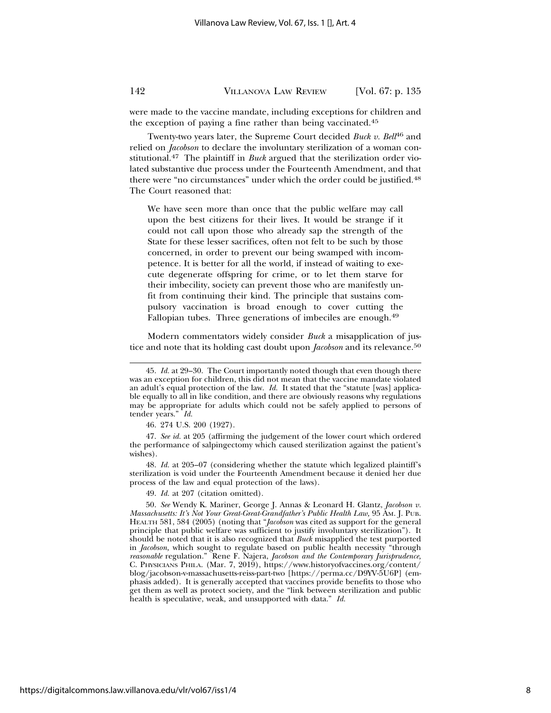were made to the vaccine mandate, including exceptions for children and the exception of paying a fine rather than being vaccinated.45

Twenty-two years later, the Supreme Court decided *Buck v. Bell*46 and relied on *Jacobson* to declare the involuntary sterilization of a woman constitutional.47 The plaintiff in *Buck* argued that the sterilization order violated substantive due process under the Fourteenth Amendment, and that there were "no circumstances" under which the order could be justified.48 The Court reasoned that:

We have seen more than once that the public welfare may call upon the best citizens for their lives. It would be strange if it could not call upon those who already sap the strength of the State for these lesser sacrifices, often not felt to be such by those concerned, in order to prevent our being swamped with incompetence. It is better for all the world, if instead of waiting to execute degenerate offspring for crime, or to let them starve for their imbecility, society can prevent those who are manifestly unfit from continuing their kind. The principle that sustains compulsory vaccination is broad enough to cover cutting the Fallopian tubes. Three generations of imbeciles are enough.<sup>49</sup>

Modern commentators widely consider *Buck* a misapplication of justice and note that its holding cast doubt upon *Jacobson* and its relevance.50

49. *Id.* at 207 (citation omitted).

<sup>45.</sup> *Id.* at 29–30. The Court importantly noted though that even though there was an exception for children, this did not mean that the vaccine mandate violated an adult's equal protection of the law. *Id.* It stated that the "statute [was] applicable equally to all in like condition, and there are obviously reasons why regulations may be appropriate for adults which could not be safely applied to persons of tender years." *Id.*

<sup>46. 274</sup> U.S. 200 (1927).

<sup>47.</sup> *See id.* at 205 (affirming the judgement of the lower court which ordered the performance of salpingectomy which caused sterilization against the patient's wishes).

<sup>48.</sup> *Id.* at 205–07 (considering whether the statute which legalized plaintiff's sterilization is void under the Fourteenth Amendment because it denied her due process of the law and equal protection of the laws).

<sup>50.</sup> *See* Wendy K. Mariner, George J. Annas & Leonard H. Glantz, *Jacobson v. Massachusetts: It's Not Your Great-Great-Grandfather's Public Health Law,* 95 AM. J. PUB. HEALTH 581, 584 (2005) (noting that "*Jacobson* was cited as support for the general principle that public welfare was sufficient to justify involuntary sterilization"). It should be noted that it is also recognized that *Buck* misapplied the test purported in *Jacobson,* which sought to regulate based on public health necessity "through *reasonable* regulation." Rene F. Najera, *Jacobson and the Contemporary Jurisprudence,* C. PHYSICIANS PHILA. (Mar. 7, 2019), https://www.historyofvaccines.org/content/ blog/jacobson-v-massachusetts-reiss-part-two [https://perma.cc/D9YV-5U6P] (emphasis added). It is generally accepted that vaccines provide benefits to those who get them as well as protect society, and the "link between sterilization and public health is speculative, weak, and unsupported with data." *Id.*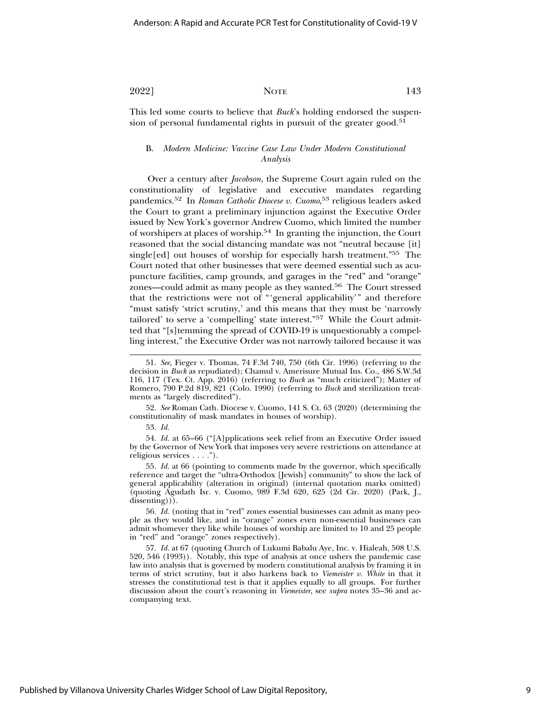This led some courts to believe that *Buck*'s holding endorsed the suspension of personal fundamental rights in pursuit of the greater good.<sup>51</sup>

#### B. *Modern Medicine: Vaccine Case Law Under Modern Constitutional Analysis*

Over a century after *Jacobson*, the Supreme Court again ruled on the constitutionality of legislative and executive mandates regarding pandemics.52 In *Roman Catholic Diocese v. Cuomo*, 53 religious leaders asked the Court to grant a preliminary injunction against the Executive Order issued by New York's governor Andrew Cuomo, which limited the number of worshipers at places of worship.54 In granting the injunction, the Court reasoned that the social distancing mandate was not "neutral because [it] single[ed] out houses of worship for especially harsh treatment."55 The Court noted that other businesses that were deemed essential such as acupuncture facilities, camp grounds, and garages in the "red" and "orange" zones—could admit as many people as they wanted.56 The Court stressed that the restrictions were not of "'general applicability'" and therefore "must satisfy 'strict scrutiny,' and this means that they must be 'narrowly tailored' to serve a 'compelling' state interest."57 While the Court admitted that "[s]temming the spread of COVID-19 is unquestionably a compelling interest," the Executive Order was not narrowly tailored because it was

52. *See* Roman Cath. Diocese v. Cuomo, 141 S. Ct. 63 (2020) (determining the constitutionality of mask mandates in houses of worship).

53. *Id.*

54. *Id.* at 65–66 ("[A]pplications seek relief from an Executive Order issued by the Governor of New York that imposes very severe restrictions on attendance at religious services . . . .").

55. *Id.* at 66 (pointing to comments made by the governor, which specifically reference and target the "ultra-Orthodox [Jewish] community" to show the lack of general applicability (alteration in original) (internal quotation marks omitted) (quoting Agudath Isr. v. Cuomo, 989 F.3d 620, 625 (2d Cir. 2020) (Park, J., dissenting))).

56. *Id.* (noting that in "red" zones essential businesses can admit as many people as they would like, and in "orange" zones even non-essential businesses can admit whomever they like while houses of worship are limited to 10 and 25 people in "red" and "orange" zones respectively).

57. *Id.* at 67 (quoting Church of Lukumi Babalu Aye, Inc. v. Hialeah, 508 U.S. 520, 546 (1993)). Notably, this type of analysis at once ushers the pandemic case law into analysis that is governed by modern constitutional analysis by framing it in terms of strict scrutiny, but it also harkens back to *Viemeister v. White* in that it stresses the constitutional test is that it applies equally to all groups. For further discussion about the court's reasoning in *Viemeister,* see *supra* notes 35–36 and accompanying text.

<sup>51.</sup> *See,* Fieger v. Thomas, 74 F.3d 740, 750 (6th Cir. 1996) (referring to the decision in *Buck* as repudiated); Chamul v. Amerisure Mutual Ins. Co., 486 S.W.3d 116, 117 (Tex. Ct. App. 2016) (referring to *Buck* as "much criticized"); Matter of Romero, 790 P.2d 819, 821 (Colo. 1990) (referring to *Buck* and sterilization treatments as "largely discredited").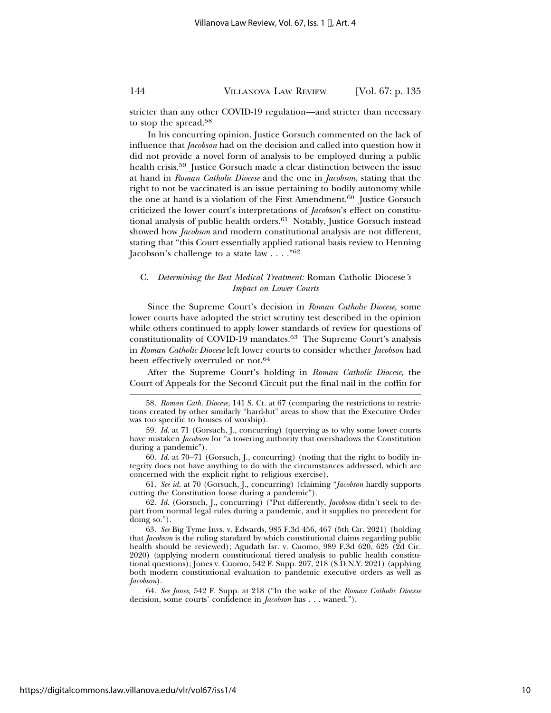stricter than any other COVID-19 regulation—and stricter than necessary to stop the spread.58

In his concurring opinion, Justice Gorsuch commented on the lack of influence that *Jacobson* had on the decision and called into question how it did not provide a novel form of analysis to be employed during a public health crisis.59 Justice Gorsuch made a clear distinction between the issue at hand in *Roman Catholic Diocese* and the one in *Jacobson*, stating that the right to not be vaccinated is an issue pertaining to bodily autonomy while the one at hand is a violation of the First Amendment.<sup>60</sup> Justice Gorsuch criticized the lower court's interpretations of *Jacobson*'s effect on constitutional analysis of public health orders.<sup>61</sup> Notably, Justice Gorsuch instead showed how *Jacobson* and modern constitutional analysis are not different, stating that "this Court essentially applied rational basis review to Henning Jacobson's challenge to a state law  $\ldots$ ."<sup>62</sup>

#### C. *Determining the Best Medical Treatment:* Roman Catholic Diocese*'s Impact on Lower Courts*

Since the Supreme Court's decision in *Roman Catholic Diocese*, some lower courts have adopted the strict scrutiny test described in the opinion while others continued to apply lower standards of review for questions of constitutionality of COVID-19 mandates.63 The Supreme Court's analysis in *Roman Catholic Diocese* left lower courts to consider whether *Jacobson* had been effectively overruled or not.<sup>64</sup>

After the Supreme Court's holding in *Roman Catholic Diocese*, the Court of Appeals for the Second Circuit put the final nail in the coffin for

61. *See id.* at 70 (Gorsuch, J., concurring) (claiming "*Jacobson* hardly supports cutting the Constitution loose during a pandemic").

<sup>58.</sup> *Roman Cath. Diocese,* 141 S. Ct. at 67 (comparing the restrictions to restrictions created by other similarly "hard-hit" areas to show that the Executive Order was too specific to houses of worship).

<sup>59.</sup> *Id.* at 71 (Gorsuch, J., concurring) (querying as to why some lower courts have mistaken *Jacobson* for "a towering authority that overshadows the Constitution during a pandemic").

<sup>60.</sup> *Id.* at 70–71 (Gorsuch, J., concurring) (noting that the right to bodily integrity does not have anything to do with the circumstances addressed, which are concerned with the explicit right to religious exercise).

<sup>62.</sup> *Id.* (Gorsuch, J., concurring) ("Put differently, *Jacobson* didn't seek to depart from normal legal rules during a pandemic, and it supplies no precedent for doing so.").

<sup>63.</sup> *See* Big Tyme Invs. v. Edwards, 985 F.3d 456, 467 (5th Cir. 2021) (holding that *Jacobson* is the ruling standard by which constitutional claims regarding public health should be reviewed); Agudath Isr. v. Cuomo, 989 F.3d 620, 625 (2d Cir. 2020) (applying modern constitutional tiered analysis to public health constitutional questions); Jones v. Cuomo, 542 F. Supp. 207, 218 (S.D.N.Y. 2021) (applying both modern constitutional evaluation to pandemic executive orders as well as *Jacobson*).

<sup>64.</sup> *See Jones,* 542 F. Supp. at 218 ("In the wake of the *Roman Catholic Diocese* decision, some courts' confidence in *Jacobson* has . . . waned.").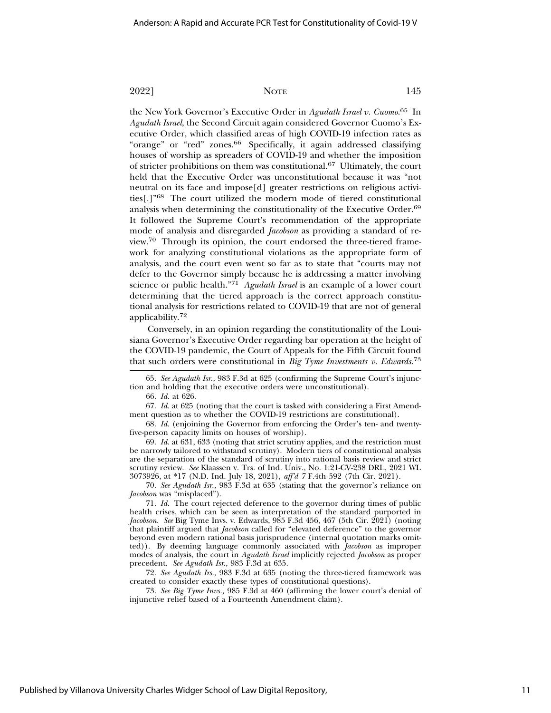the New York Governor's Executive Order in *Agudath Israel v. Cuomo*. 65 In *Agudath Israel*, the Second Circuit again considered Governor Cuomo's Executive Order, which classified areas of high COVID-19 infection rates as "orange" or "red" zones.66 Specifically, it again addressed classifying houses of worship as spreaders of COVID-19 and whether the imposition of stricter prohibitions on them was constitutional.67 Ultimately, the court held that the Executive Order was unconstitutional because it was "not neutral on its face and impose[d] greater restrictions on religious activities[.]"68 The court utilized the modern mode of tiered constitutional analysis when determining the constitutionality of the Executive Order.69 It followed the Supreme Court's recommendation of the appropriate mode of analysis and disregarded *Jacobson* as providing a standard of review.70 Through its opinion, the court endorsed the three-tiered framework for analyzing constitutional violations as the appropriate form of analysis, and the court even went so far as to state that "courts may not defer to the Governor simply because he is addressing a matter involving science or public health."71 *Agudath Israel* is an example of a lower court determining that the tiered approach is the correct approach constitutional analysis for restrictions related to COVID-19 that are not of general applicability.<sup>72</sup>

Conversely, in an opinion regarding the constitutionality of the Louisiana Governor's Executive Order regarding bar operation at the height of the COVID-19 pandemic, the Court of Appeals for the Fifth Circuit found that such orders were constitutional in *Big Tyme Investments v. Edwards*. 73

65. *See Agudath Isr.,* 983 F.3d at 625 (confirming the Supreme Court's injunction and holding that the executive orders were unconstitutional).

66. *Id.* at 626.

67. *Id.* at 625 (noting that the court is tasked with considering a First Amendment question as to whether the COVID-19 restrictions are constitutional).

68. *Id.* (enjoining the Governor from enforcing the Order's ten- and twentyfive-person capacity limits on houses of worship).

69. *Id.* at 631, 633 (noting that strict scrutiny applies, and the restriction must be narrowly tailored to withstand scrutiny). Modern tiers of constitutional analysis are the separation of the standard of scrutiny into rational basis review and strict scrutiny review. *See* Klaassen v. Trs. of Ind. Univ., No. 1:21-CV-238 DRL, 2021 WL 3073926, at \*17 (N.D. Ind. July 18, 2021), *aff'd 7* F.4th 592 (7th Cir. 2021).

70. *See Agudath Isr.,* 983 F.3d at 635 (stating that the governor's reliance on *Jacobson* was "misplaced").

71. *Id.* The court rejected deference to the governor during times of public health crises, which can be seen as interpretation of the standard purported in *Jacobson. See* Big Tyme Invs. v. Edwards, 985 F.3d 456, 467 (5th Cir. 2021) (noting that plaintiff argued that *Jacobson* called for "elevated deference" to the governor beyond even modern rational basis jurisprudence (internal quotation marks omitted)). By deeming language commonly associated with *Jacobson* as improper modes of analysis, the court in *Agudath Israel* implicitly rejected *Jacobson* as proper precedent. *See Agudath Isr*., 983 F.3d at 635.

72. *See Agudath Irs.*, 983 F.3d at 635 (noting the three-tiered framework was created to consider exactly these types of constitutional questions).

73. *See Big Tyme Invs.,* 985 F.3d at 460 (affirming the lower court's denial of injunctive relief based of a Fourteenth Amendment claim).

2022] NOTE 145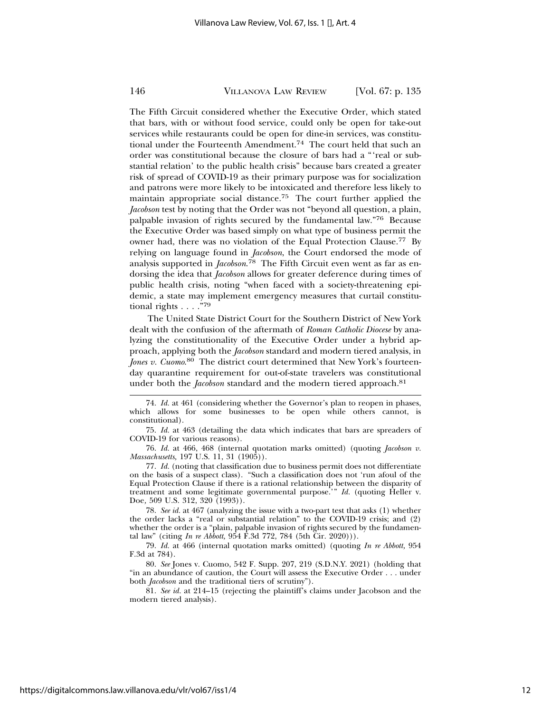The Fifth Circuit considered whether the Executive Order, which stated that bars, with or without food service, could only be open for take-out services while restaurants could be open for dine-in services, was constitutional under the Fourteenth Amendment.<sup>74</sup> The court held that such an order was constitutional because the closure of bars had a "'real or substantial relation' to the public health crisis" because bars created a greater risk of spread of COVID-19 as their primary purpose was for socialization and patrons were more likely to be intoxicated and therefore less likely to maintain appropriate social distance.75 The court further applied the *Jacobson* test by noting that the Order was not "beyond all question, a plain, palpable invasion of rights secured by the fundamental law."76 Because the Executive Order was based simply on what type of business permit the owner had, there was no violation of the Equal Protection Clause.77 By relying on language found in *Jacobson*, the Court endorsed the mode of analysis supported in *Jacobson*. 78 The Fifth Circuit even went as far as endorsing the idea that *Jacobson* allows for greater deference during times of public health crisis, noting "when faced with a society-threatening epidemic, a state may implement emergency measures that curtail constitutional rights . . . ."79

The United State District Court for the Southern District of New York dealt with the confusion of the aftermath of *Roman Catholic Diocese* by analyzing the constitutionality of the Executive Order under a hybrid approach, applying both the *Jacobson* standard and modern tiered analysis, in *Jones v. Cuomo*. 80 The district court determined that New York's fourteenday quarantine requirement for out-of-state travelers was constitutional under both the *Jacobson* standard and the modern tiered approach.<sup>81</sup>

74. *Id.* at 461 (considering whether the Governor's plan to reopen in phases, which allows for some businesses to be open while others cannot, is constitutional).

75. *Id.* at 463 (detailing the data which indicates that bars are spreaders of COVID-19 for various reasons).

76. *Id.* at 466, 468 (internal quotation marks omitted) (quoting *Jacobson v. Massachusetts,* 197 U.S. 11, 31 (1905)).

77. *Id.* (noting that classification due to business permit does not differentiate on the basis of a suspect class). "Such a classification does not 'run afoul of the Equal Protection Clause if there is a rational relationship between the disparity of treatment and some legitimate governmental purpose.'" *Id.* (quoting Heller v. Doe*,* 509 U.S. 312, 320 (1993)).

78. *See id.* at 467 (analyzing the issue with a two-part test that asks (1) whether the order lacks a "real or substantial relation" to the COVID-19 crisis; and (2) whether the order is a "plain, palpable invasion of rights secured by the fundamental law" (citing *In re Abbott,* 954 F.3d 772, 784 (5th Cir. 2020))).

79. *Id.* at 466 (internal quotation marks omitted) (quoting *In re Abbott,* 954 F.3d at 784).

80. *See* Jones v. Cuomo, 542 F. Supp. 207, 219 (S.D.N.Y. 2021) (holding that "in an abundance of caution, the Court will assess the Executive Order . . . under both *Jacobson* and the traditional tiers of scrutiny").

81. *See id.* at 214–15 (rejecting the plaintiff's claims under Jacobson and the modern tiered analysis).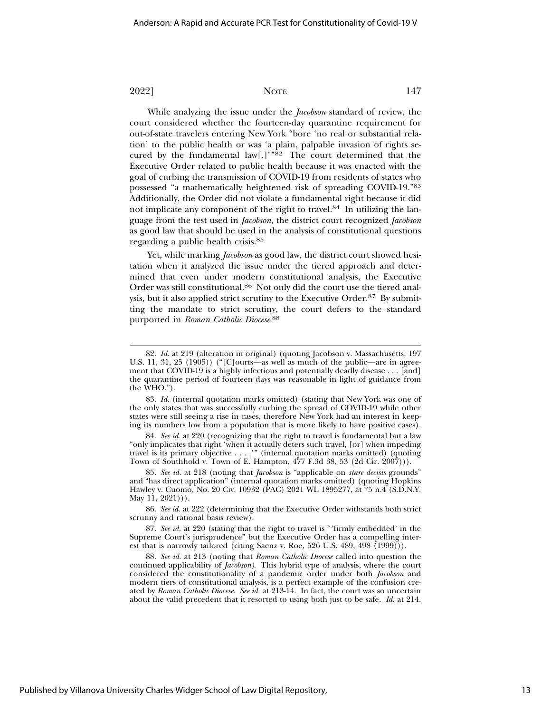While analyzing the issue under the *Jacobson* standard of review, the court considered whether the fourteen-day quarantine requirement for out-of-state travelers entering New York "bore 'no real or substantial relation' to the public health or was 'a plain, palpable invasion of rights secured by the fundamental law[.]'"82 The court determined that the Executive Order related to public health because it was enacted with the goal of curbing the transmission of COVID-19 from residents of states who possessed "a mathematically heightened risk of spreading COVID-19."83 Additionally, the Order did not violate a fundamental right because it did not implicate any component of the right to travel.<sup>84</sup> In utilizing the language from the test used in *Jacobson*, the district court recognized *Jacobson* as good law that should be used in the analysis of constitutional questions regarding a public health crisis.85

Yet, while marking *Jacobson* as good law, the district court showed hesitation when it analyzed the issue under the tiered approach and determined that even under modern constitutional analysis, the Executive Order was still constitutional.86 Not only did the court use the tiered analysis, but it also applied strict scrutiny to the Executive Order.87 By submitting the mandate to strict scrutiny, the court defers to the standard purported in *Roman Catholic Diocese*. 88

<sup>82.</sup> *Id.* at 219 (alteration in original) (quoting Jacobson v. Massachusetts*,* 197 U.S. 11, 31, 25 (1905)) ("[C]ourts—as well as much of the public—are in agreement that COVID-19 is a highly infectious and potentially deadly disease . . . [and] the quarantine period of fourteen days was reasonable in light of guidance from the WHO.").

<sup>83.</sup> *Id.* (internal quotation marks omitted) (stating that New York was one of the only states that was successfully curbing the spread of COVID-19 while other states were still seeing a rise in cases, therefore New York had an interest in keeping its numbers low from a population that is more likely to have positive cases).

<sup>84.</sup> *See id.* at 220 (recognizing that the right to travel is fundamental but a law "only implicates that right 'when it actually deters such travel, [or] when impeding travel is its primary objective . . . .'" (internal quotation marks omitted) (quoting Town of Southhold v. Town of E. Hampton, 477 F.3d 38, 53 (2d Cir. 2007))).

<sup>85.</sup> *See id.* at 218 (noting that *Jacobson* is "applicable on *stare decisis* grounds" and "has direct application" (internal quotation marks omitted) (quoting Hopkins Hawley v. Cuomo*,* No. 20 Civ. 10932 (PAC) 2021 WL 1895277, at \*5 n.4 (S.D.N.Y. May 11, 2021))).

<sup>86.</sup> *See id.* at 222 (determining that the Executive Order withstands both strict scrutiny and rational basis review).

<sup>87.</sup> *See id.* at 220 (stating that the right to travel is "'firmly embedded' in the Supreme Court's jurisprudence" but the Executive Order has a compelling interest that is narrowly tailored (citing Saenz v. Roe, 526 U.S. 489, 498 (1999))).

<sup>88.</sup> *See id.* at 213 (noting that *Roman Catholic Diocese* called into question the continued applicability of *Jacobson)*. This hybrid type of analysis, where the court considered the constitutionality of a pandemic order under both *Jacobson* and modern tiers of constitutional analysis, is a perfect example of the confusion created by *Roman Catholic Diocese. See id.* at 213-14. In fact, the court was so uncertain about the valid precedent that it resorted to using both just to be safe. *Id.* at 214.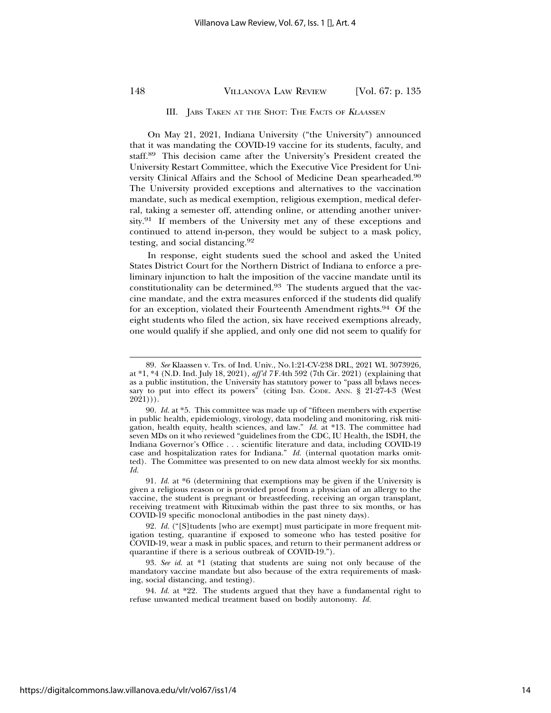#### III. JABS TAKEN AT THE SHOT: THE FACTS OF KLAASSEN

On May 21, 2021, Indiana University ("the University") announced that it was mandating the COVID-19 vaccine for its students, faculty, and staff.89 This decision came after the University's President created the University Restart Committee, which the Executive Vice President for University Clinical Affairs and the School of Medicine Dean spearheaded.90 The University provided exceptions and alternatives to the vaccination mandate, such as medical exemption, religious exemption, medical deferral, taking a semester off, attending online, or attending another university.91 If members of the University met any of these exceptions and continued to attend in-person, they would be subject to a mask policy, testing, and social distancing.92

In response, eight students sued the school and asked the United States District Court for the Northern District of Indiana to enforce a preliminary injunction to halt the imposition of the vaccine mandate until its constitutionality can be determined.93 The students argued that the vaccine mandate, and the extra measures enforced if the students did qualify for an exception, violated their Fourteenth Amendment rights.94 Of the eight students who filed the action, six have received exemptions already, one would qualify if she applied, and only one did not seem to qualify for

<sup>89.</sup> *See* Klaassen v. Trs. of Ind. Univ., No.1:21-CV-238 DRL, 2021 WL 3073926, at \*1, \*4 (N.D. Ind. July 18, 2021), *aff'd 7* F.4th 592 (7th Cir. 2021) (explaining that as a public institution, the University has statutory power to "pass all bylaws necessary to put into effect its powers" (citing IND. CODE. ANN. § 21-27-4-3 (West  $2021$ )).

<sup>90.</sup> *Id.* at \*5. This committee was made up of "fifteen members with expertise in public health, epidemiology, virology, data modeling and monitoring, risk mitigation, health equity, health sciences, and law." *Id.* at \*13. The committee had seven MDs on it who reviewed "guidelines from the CDC, IU Health, the ISDH, the Indiana Governor's Office . . . scientific literature and data, including COVID-19 case and hospitalization rates for Indiana." *Id.* (internal quotation marks omitted). The Committee was presented to on new data almost weekly for six months. *Id.*

<sup>91.</sup> *Id.* at \*6 (determining that exemptions may be given if the University is given a religious reason or is provided proof from a physician of an allergy to the vaccine, the student is pregnant or breastfeeding, receiving an organ transplant, receiving treatment with Rituximab within the past three to six months, or has COVID-19 specific monoclonal antibodies in the past ninety days).

<sup>92.</sup> *Id.* ("[S]tudents [who are exempt] must participate in more frequent mitigation testing, quarantine if exposed to someone who has tested positive for COVID-19, wear a mask in public spaces, and return to their permanent address or quarantine if there is a serious outbreak of COVID-19.").

<sup>93.</sup> *See id.* at \*1 (stating that students are suing not only because of the mandatory vaccine mandate but also because of the extra requirements of masking, social distancing, and testing).

<sup>94.</sup> *Id.* at \*22. The students argued that they have a fundamental right to refuse unwanted medical treatment based on bodily autonomy. *Id.*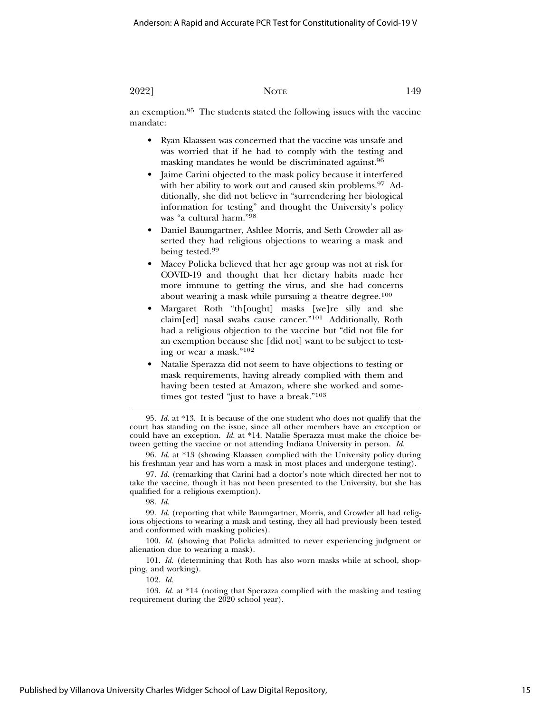an exemption.95 The students stated the following issues with the vaccine mandate:

- Ryan Klaassen was concerned that the vaccine was unsafe and was worried that if he had to comply with the testing and masking mandates he would be discriminated against.96
- Jaime Carini objected to the mask policy because it interfered with her ability to work out and caused skin problems.<sup>97</sup> Additionally, she did not believe in "surrendering her biological information for testing" and thought the University's policy was "a cultural harm."98
- Daniel Baumgartner, Ashlee Morris, and Seth Crowder all asserted they had religious objections to wearing a mask and being tested.99
- Macey Policka believed that her age group was not at risk for COVID-19 and thought that her dietary habits made her more immune to getting the virus, and she had concerns about wearing a mask while pursuing a theatre degree.<sup>100</sup>
- Margaret Roth "th[ought] masks [we]re silly and she claim[ed] nasal swabs cause cancer."101 Additionally, Roth had a religious objection to the vaccine but "did not file for an exemption because she [did not] want to be subject to testing or wear a mask."102
- Natalie Sperazza did not seem to have objections to testing or mask requirements, having already complied with them and having been tested at Amazon, where she worked and sometimes got tested "just to have a break."103

95. *Id.* at \*13. It is because of the one student who does not qualify that the court has standing on the issue, since all other members have an exception or could have an exception. *Id.* at \*14. Natalie Sperazza must make the choice between getting the vaccine or not attending Indiana University in person. *Id.*

96. *Id.* at \*13 (showing Klaassen complied with the University policy during his freshman year and has worn a mask in most places and undergone testing).

97. *Id.* (remarking that Carini had a doctor's note which directed her not to take the vaccine, though it has not been presented to the University, but she has qualified for a religious exemption).

#### 98. *Id.*

99. *Id.* (reporting that while Baumgartner, Morris, and Crowder all had religious objections to wearing a mask and testing, they all had previously been tested and conformed with masking policies).

100. *Id.* (showing that Policka admitted to never experiencing judgment or alienation due to wearing a mask).

101. *Id.* (determining that Roth has also worn masks while at school, shopping, and working).

102. *Id.*

103. *Id.* at \*14 (noting that Sperazza complied with the masking and testing requirement during the 2020 school year).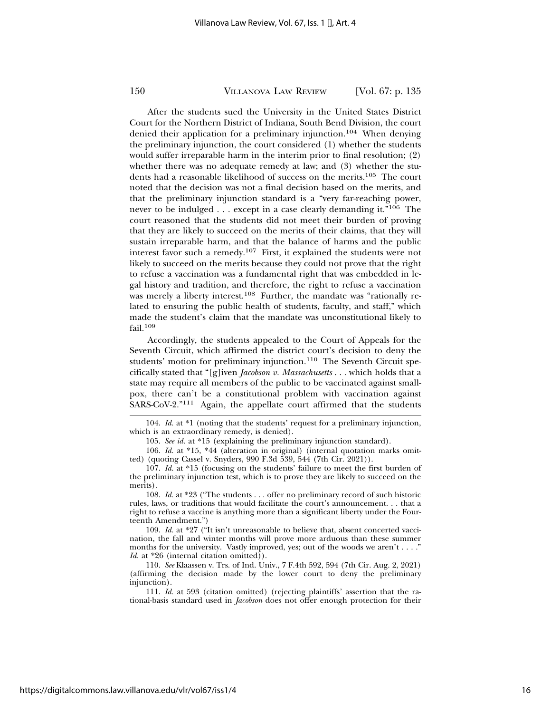After the students sued the University in the United States District Court for the Northern District of Indiana, South Bend Division, the court denied their application for a preliminary injunction.104 When denying the preliminary injunction, the court considered (1) whether the students would suffer irreparable harm in the interim prior to final resolution; (2) whether there was no adequate remedy at law; and (3) whether the students had a reasonable likelihood of success on the merits.105 The court noted that the decision was not a final decision based on the merits, and that the preliminary injunction standard is a "very far-reaching power, never to be indulged . . . except in a case clearly demanding it."106 The court reasoned that the students did not meet their burden of proving that they are likely to succeed on the merits of their claims, that they will sustain irreparable harm, and that the balance of harms and the public interest favor such a remedy.107 First, it explained the students were not likely to succeed on the merits because they could not prove that the right to refuse a vaccination was a fundamental right that was embedded in legal history and tradition, and therefore, the right to refuse a vaccination was merely a liberty interest.<sup>108</sup> Further, the mandate was "rationally related to ensuring the public health of students, faculty, and staff," which made the student's claim that the mandate was unconstitutional likely to fail.<sup>109</sup>

Accordingly, the students appealed to the Court of Appeals for the Seventh Circuit, which affirmed the district court's decision to deny the students' motion for preliminary injunction.<sup>110</sup> The Seventh Circuit specifically stated that "[g]iven *Jacobson v. Massachusetts* . . . which holds that a state may require all members of the public to be vaccinated against smallpox, there can't be a constitutional problem with vaccination against SARS-CoV-2."111 Again, the appellate court affirmed that the students

104. *Id.* at \*1 (noting that the students' request for a preliminary injunction, which is an extraordinary remedy, is denied).

106. *Id.* at \*15, \*44 (alteration in original) (internal quotation marks omitted) (quoting Cassel v. Snyders, 990 F.3d 539, 544 (7th Cir. 2021)).

107. *Id.* at \*15 (focusing on the students' failure to meet the first burden of the preliminary injunction test, which is to prove they are likely to succeed on the merits).

108. *Id.* at \*23 ("The students . . . offer no preliminary record of such historic rules, laws, or traditions that would facilitate the court's announcement. . . that a right to refuse a vaccine is anything more than a significant liberty under the Fourteenth Amendment.")

109. *Id.* at \*27 ("It isn't unreasonable to believe that, absent concerted vaccination, the fall and winter months will prove more arduous than these summer months for the university. Vastly improved, yes; out of the woods we aren't . . . ." *Id.* at \*26 (internal citation omitted)).

110. *See* Klaassen v. Trs. of Ind. Univ., 7 F.4th 592, 594 (7th Cir. Aug. 2, 2021) (affirming the decision made by the lower court to deny the preliminary injunction).

111. *Id.* at 593 (citation omitted) (rejecting plaintiffs' assertion that the rational-basis standard used in *Jacobson* does not offer enough protection for their

<sup>105.</sup> *See id.* at \*15 (explaining the preliminary injunction standard).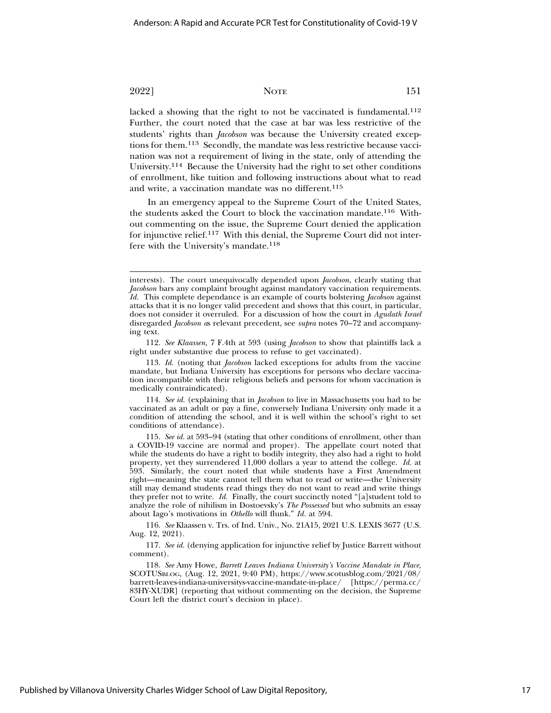lacked a showing that the right to not be vaccinated is fundamental.<sup>112</sup> Further, the court noted that the case at bar was less restrictive of the students' rights than *Jacobson* was because the University created exceptions for them.113 Secondly, the mandate was less restrictive because vaccination was not a requirement of living in the state, only of attending the University.114 Because the University had the right to set other conditions of enrollment, like tuition and following instructions about what to read and write, a vaccination mandate was no different.<sup>115</sup>

In an emergency appeal to the Supreme Court of the United States, the students asked the Court to block the vaccination mandate.116 Without commenting on the issue, the Supreme Court denied the application for injunctive relief.117 With this denial, the Supreme Court did not interfere with the University's mandate.<sup>118</sup>

112. *See Klaassen,* 7 F.4th at 593 (using *Jacobson* to show that plaintiffs lack a right under substantive due process to refuse to get vaccinated).

113. *Id.* (noting that *Jacobson* lacked exceptions for adults from the vaccine mandate, but Indiana University has exceptions for persons who declare vaccination incompatible with their religious beliefs and persons for whom vaccination is medically contraindicated).

114. *See id.* (explaining that in *Jacobson* to live in Massachusetts you had to be vaccinated as an adult or pay a fine, conversely Indiana University only made it a condition of attending the school, and it is well within the school's right to set conditions of attendance).

115. *See id.* at 593–94 (stating that other conditions of enrollment, other than a COVID-19 vaccine are normal and proper). The appellate court noted that while the students do have a right to bodily integrity, they also had a right to hold property, yet they surrendered 11,000 dollars a year to attend the college. *Id.* at 593. Similarly, the court noted that while students have a First Amendment right—meaning the state cannot tell them what to read or write—the University still may demand students read things they do not want to read and write things they prefer not to write. *Id.* Finally, the court succinctly noted "[a]student told to analyze the role of nihilism in Dostoevsky's *The Possessed* but who submits an essay about Iago's motivations in *Othello* will flunk." *Id.* at 594.

116. *See* Klaassen v. Trs. of Ind. Univ., No. 21A15, 2021 U.S. LEXIS 3677 (U.S. Aug. 12, 2021).

117. *See id.* (denying application for injunctive relief by Justice Barrett without comment).

118. *See* Amy Howe, *Barrett Leaves Indiana University's Vaccine Mandate in Place,* SCOTUSBLOG, (Aug. 12, 2021, 9:40 PM), https://www.scotusblog.com/2021/08/ barrett-leaves-indiana-universitys-vaccine-mandate-in-place/ [https://perma.cc/ 83HY-XUDR] (reporting that without commenting on the decision, the Supreme Court left the district court's decision in place).

interests). The court unequivocally depended upon *Jacobson,* clearly stating that *Jacobson* bars any complaint brought against mandatory vaccination requirements. *Id.* This complete dependance is an example of courts bolstering *Jacobson* against attacks that it is no longer valid precedent and shows that this court, in particular, does not consider it overruled. For a discussion of how the court in *Agudath Israel* disregarded *Jacobson a*s relevant precedent, see *supra* notes 70–72 and accompanying text.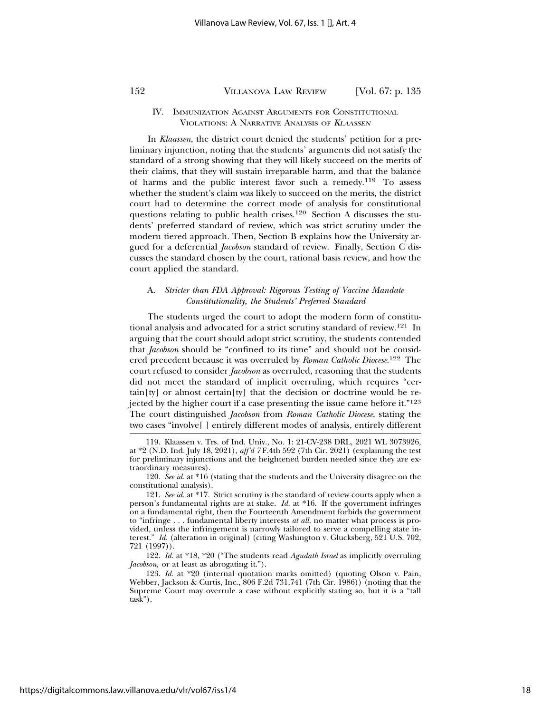#### IV. IMMUNIZATION AGAINST ARGUMENTS FOR CONSTITUTIONAL VIOLATIONS: A NARRATIVE ANALYSIS OF <sup>K</sup>LAASSEN

In *Klaassen*, the district court denied the students' petition for a preliminary injunction, noting that the students' arguments did not satisfy the standard of a strong showing that they will likely succeed on the merits of their claims, that they will sustain irreparable harm, and that the balance of harms and the public interest favor such a remedy.119 To assess whether the student's claim was likely to succeed on the merits, the district court had to determine the correct mode of analysis for constitutional questions relating to public health crises.<sup>120</sup> Section A discusses the students' preferred standard of review, which was strict scrutiny under the modern tiered approach. Then, Section B explains how the University argued for a deferential *Jacobson* standard of review. Finally, Section C discusses the standard chosen by the court, rational basis review, and how the court applied the standard.

#### A. *Stricter than FDA Approval: Rigorous Testing of Vaccine Mandate Constitutionality, the Students' Preferred Standard*

The students urged the court to adopt the modern form of constitutional analysis and advocated for a strict scrutiny standard of review.121 In arguing that the court should adopt strict scrutiny, the students contended that *Jacobson* should be "confined to its time" and should not be considered precedent because it was overruled by *Roman Catholic Diocese*. 122 The court refused to consider *Jacobson* as overruled, reasoning that the students did not meet the standard of implicit overruling, which requires "cer- $\text{tain}[\text{ty}]$  or almost certain $[\text{ty}]$  that the decision or doctrine would be rejected by the higher court if a case presenting the issue came before it."123 The court distinguished *Jacobson* from *Roman Catholic Diocese*, stating the two cases "involve[ ] entirely different modes of analysis, entirely different

122. *Id.* at \*18, \*20 ("The students read *Agudath Israel* as implicitly overruling *Jacobson,* or at least as abrogating it.").

123. *Id.* at \*20 (internal quotation marks omitted) (quoting Olson v. Pain, Webber, Jackson & Curtis, Inc., 806 F.2d 731,741 (7th Cir. 1986)) (noting that the Supreme Court may overrule a case without explicitly stating so, but it is a "tall task").

<sup>119.</sup> Klaassen v. Trs. of Ind. Univ., No. 1: 21-CV-238 DRL, 2021 WL 3073926, at \*2 (N.D. Ind. July 18, 2021), *aff'd 7* F.4th 592 (7th Cir. 2021) (explaining the test for preliminary injunctions and the heightened burden needed since they are extraordinary measures).

<sup>120.</sup> *See id.* at \*16 (stating that the students and the University disagree on the constitutional analysis).

<sup>121.</sup> *See id.* at \*17. Strict scrutiny is the standard of review courts apply when a person's fundamental rights are at stake. *Id.* at \*16. If the government infringes on a fundamental right, then the Fourteenth Amendment forbids the government to "infringe . . . fundamental liberty interests *at all,* no matter what process is provided, unless the infringement is narrowly tailored to serve a compelling state interest." *Id.* (alteration in original) (citing Washington v. Glucksberg, 521 U.S. 702, 721 (1997)).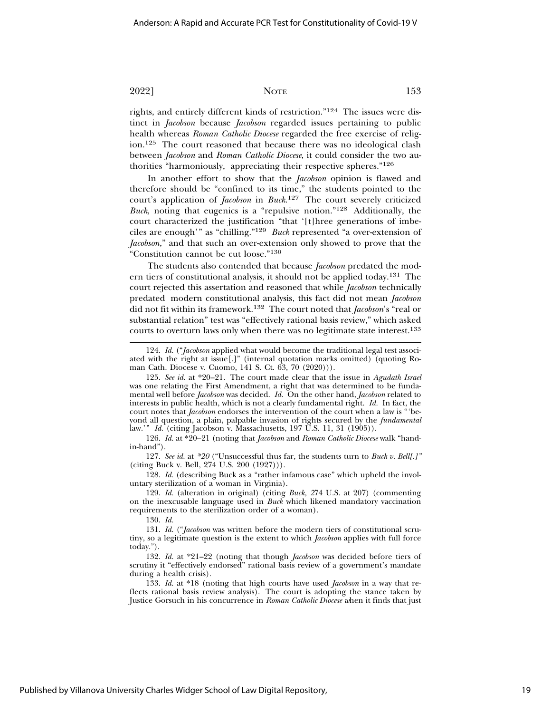rights, and entirely different kinds of restriction."124 The issues were distinct in *Jacobson* because *Jacobson* regarded issues pertaining to public health whereas *Roman Catholic Diocese* regarded the free exercise of religion.125 The court reasoned that because there was no ideological clash between *Jacobson* and *Roman Catholic Diocese*, it could consider the two authorities "harmoniously, appreciating their respective spheres."126

In another effort to show that the *Jacobson* opinion is flawed and therefore should be "confined to its time," the students pointed to the court's application of *Jacobson* in *Buck*. 127 The court severely criticized *Buck,* noting that eugenics is a "repulsive notion."128 Additionally, the court characterized the justification "that '[t]hree generations of imbeciles are enough'" as "chilling."129 *Buck* represented "a over-extension of *Jacobson,*" and that such an over-extension only showed to prove that the "Constitution cannot be cut loose."130

The students also contended that because *Jacobson* predated the modern tiers of constitutional analysis, it should not be applied today.131 The court rejected this assertation and reasoned that while *Jacobson* technically predated modern constitutional analysis, this fact did not mean *Jacobson* did not fit within its framework.132 The court noted that *Jacobson*'s "real or substantial relation" test was "effectively rational basis review," which asked courts to overturn laws only when there was no legitimate state interest.133

126. *Id.* at \*20–21 (noting that *Jacobson* and *Roman Catholic Diocese* walk "handin-hand").

127. *See id.* at *\*20* ("Unsuccessful thus far, the students turn to *Buck v. Bell[.]"* (citing Buck v. Bell, 274 U.S. 200 (1927))).

128. *Id.* (describing Buck as a "rather infamous case" which upheld the involuntary sterilization of a woman in Virginia).

129. *Id.* (alteration in original) (citing *Buck, 2*74 U.S. at 207) (commenting on the inexcusable language used in *Buck* which likened mandatory vaccination requirements to the sterilization order of a woman).

130. *Id.*

131. *Id.* ("*Jacobson* was written before the modern tiers of constitutional scrutiny, so a legitimate question is the extent to which *Jacobson* applies with full force today.").

132. *Id.* at \*21–22 (noting that though *Jacobson* was decided before tiers of scrutiny it "effectively endorsed" rational basis review of a government's mandate during a health crisis).

133. *Id.* at \*18 (noting that high courts have used *Jacobson* in a way that reflects rational basis review analysis). The court is adopting the stance taken by Justice Gorsuch in his concurrence in *Roman Catholic Diocese w*hen it finds that just

<sup>124.</sup> *Id.* ("*Jacobson* applied what would become the traditional legal test associated with the right at issue[.]" (internal quotation marks omitted) (quoting Roman Cath. Diocese v. Cuomo, 141 S. Ct. 63, 70 (2020))).

<sup>125.</sup> *See id.* at \*20–21. The court made clear that the issue in *Agudath Israel* was one relating the First Amendment, a right that was determined to be fundamental well before *Jacobson* was decided. *Id.* On the other hand, *Jacobson* related to interests in public health, which is not a clearly fundamental right. *Id.* In fact, the court notes that *Jacobson* endorses the intervention of the court when a law is "'beyond all question, a plain, palpable invasion of rights secured by the *fundamental* law.'" *Id.* (citing Jacobson v. Massachusetts, 197 U.S. 11, 31 (1905)).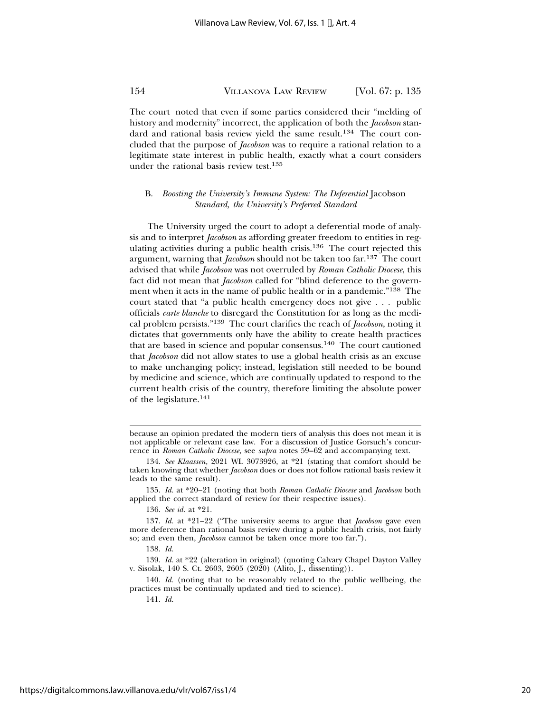The court noted that even if some parties considered their "melding of history and modernity" incorrect, the application of both the *Jacobson* standard and rational basis review yield the same result.<sup>134</sup> The court concluded that the purpose of *Jacobson* was to require a rational relation to a legitimate state interest in public health, exactly what a court considers under the rational basis review test.135

#### B. *Boosting the University's Immune System: The Deferential* Jacobson *Standard, the University's Preferred Standard*

The University urged the court to adopt a deferential mode of analysis and to interpret *Jacobson* as affording greater freedom to entities in regulating activities during a public health crisis.136 The court rejected this argument, warning that *Jacobson* should not be taken too far.137 The court advised that while *Jacobson* was not overruled by *Roman Catholic Diocese*, this fact did not mean that *Jacobson* called for "blind deference to the government when it acts in the name of public health or in a pandemic."138 The court stated that "a public health emergency does not give . . . public officials *carte blanche* to disregard the Constitution for as long as the medical problem persists."139 The court clarifies the reach of *Jacobson*, noting it dictates that governments only have the ability to create health practices that are based in science and popular consensus.140 The court cautioned that *Jacobson* did not allow states to use a global health crisis as an excuse to make unchanging policy; instead, legislation still needed to be bound by medicine and science, which are continually updated to respond to the current health crisis of the country, therefore limiting the absolute power of the legislature.141

135. *Id.* at \*20–21 (noting that both *Roman Catholic Diocese* and *Jacobson* both applied the correct standard of review for their respective issues).

136. *See id.* at \*21.

139. *Id.* at \*22 (alteration in original) (quoting Calvary Chapel Dayton Valley v. Sisolak, 140 S. Ct. 2603, 2605 (2020) (Alito, J., dissenting)).

140. *Id.* (noting that to be reasonably related to the public wellbeing, the practices must be continually updated and tied to science).

141. *Id.*

because an opinion predated the modern tiers of analysis this does not mean it is not applicable or relevant case law. For a discussion of Justice Gorsuch's concurrence in *Roman Catholic Diocese,* see *supra* notes 59–62 and accompanying text.

<sup>134.</sup> *See Klaassen,* 2021 WL 3073926, at \*21 (stating that comfort should be taken knowing that whether *Jacobson* does or does not follow rational basis review it leads to the same result).

<sup>137.</sup> *Id.* at \*21–22 ("The university seems to argue that *Jacobson* gave even more deference than rational basis review during a public health crisis, not fairly so; and even then, *Jacobson* cannot be taken once more too far.").

<sup>138.</sup> *Id.*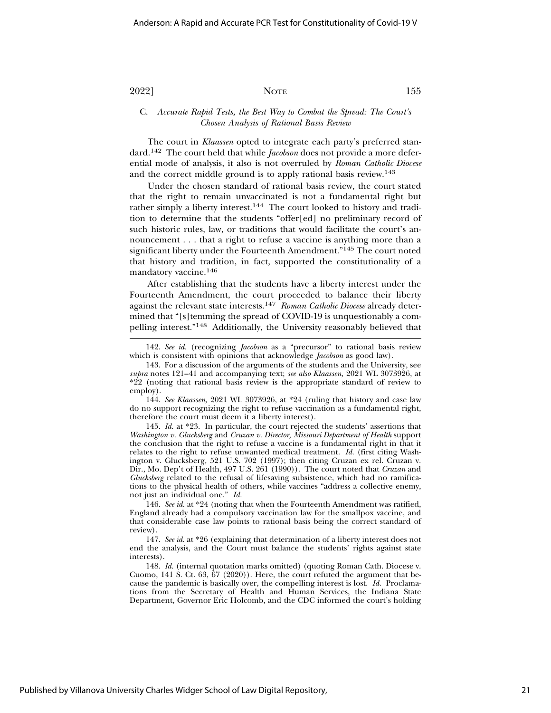#### C. *Accurate Rapid Tests, the Best Way to Combat the Spread: The Court's Chosen Analysis of Rational Basis Review*

The court in *Klaassen* opted to integrate each party's preferred standard.142 The court held that while *Jacobson* does not provide a more deferential mode of analysis, it also is not overruled by *Roman Catholic Diocese* and the correct middle ground is to apply rational basis review.143

Under the chosen standard of rational basis review, the court stated that the right to remain unvaccinated is not a fundamental right but rather simply a liberty interest.144 The court looked to history and tradition to determine that the students "offer[ed] no preliminary record of such historic rules, law, or traditions that would facilitate the court's announcement . . . that a right to refuse a vaccine is anything more than a significant liberty under the Fourteenth Amendment."145 The court noted that history and tradition, in fact, supported the constitutionality of a mandatory vaccine.146

After establishing that the students have a liberty interest under the Fourteenth Amendment, the court proceeded to balance their liberty against the relevant state interests.147 *Roman Catholic Diocese* already determined that "[s]temming the spread of COVID-19 is unquestionably a compelling interest."148 Additionally, the University reasonably believed that

144. *See Klaassen,* 2021 WL 3073926, at \*24 (ruling that history and case law do no support recognizing the right to refuse vaccination as a fundamental right, therefore the court must deem it a liberty interest).

145. *Id.* at \*23. In particular, the court rejected the students' assertions that *Washington v. Glucksberg* and *Cruzan v. Director, Missouri Department of Health* support the conclusion that the right to refuse a vaccine is a fundamental right in that it relates to the right to refuse unwanted medical treatment. *Id.* (first citing Washington v. Glucksberg*,* 521 U.S. 702 (1997); then citing Cruzan ex rel. Cruzan v. Dir., Mo. Dep't of Health, 497 U.S. 261 (1990)). The court noted that *Cruzan* and *Glucksberg* related to the refusal of lifesaving subsistence, which had no ramifications to the physical health of others, while vaccines "address a collective enemy, not just an individual one." *Id.*

146. *See id.* at \*24 (noting that when the Fourteenth Amendment was ratified, England already had a compulsory vaccination law for the smallpox vaccine, and that considerable case law points to rational basis being the correct standard of review).

147. *See id.* at \*26 (explaining that determination of a liberty interest does not end the analysis, and the Court must balance the students' rights against state interests).

148. *Id.* (internal quotation marks omitted) (quoting Roman Cath. Diocese v. Cuomo, 141 S. Ct. 63, 67 (2020)). Here, the court refuted the argument that because the pandemic is basically over, the compelling interest is lost. *Id.* Proclamations from the Secretary of Health and Human Services, the Indiana State Department, Governor Eric Holcomb, and the CDC informed the court's holding

<sup>142.</sup> *See id.* (recognizing *Jacobson* as a "precursor" to rational basis review which is consistent with opinions that acknowledge *Jacobson* as good law).

<sup>143.</sup> For a discussion of the arguments of the students and the University, see *supra* notes 121–41 and accompanying text; *see also Klaassen,* 2021 WL 3073926, at \*22 (noting that rational basis review is the appropriate standard of review to employ).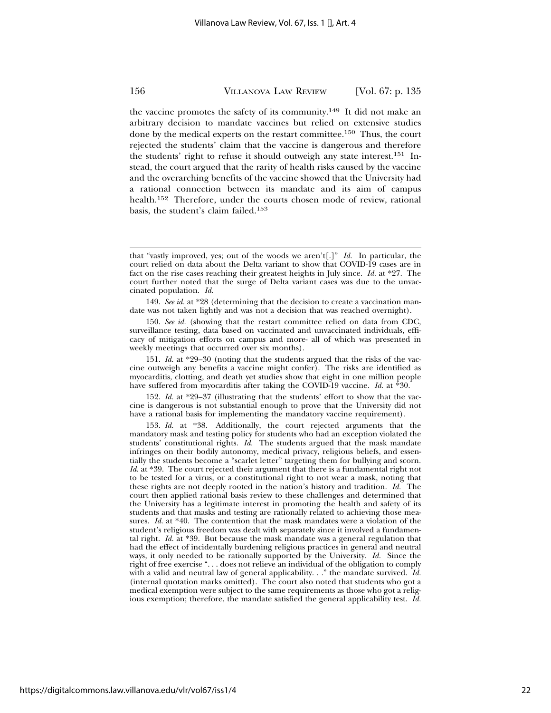the vaccine promotes the safety of its community.149 It did not make an arbitrary decision to mandate vaccines but relied on extensive studies done by the medical experts on the restart committee.<sup>150</sup> Thus, the court rejected the students' claim that the vaccine is dangerous and therefore the students' right to refuse it should outweigh any state interest.151 Instead, the court argued that the rarity of health risks caused by the vaccine and the overarching benefits of the vaccine showed that the University had a rational connection between its mandate and its aim of campus health.<sup>152</sup> Therefore, under the courts chosen mode of review, rational basis, the student's claim failed.153

150. *See id.* (showing that the restart committee relied on data from CDC, surveillance testing, data based on vaccinated and unvaccinated individuals, efficacy of mitigation efforts on campus and more- all of which was presented in weekly meetings that occurred over six months).

151. *Id.* at \*29–30 (noting that the students argued that the risks of the vaccine outweigh any benefits a vaccine might confer). The risks are identified as myocarditis, clotting, and death yet studies show that eight in one million people have suffered from myocarditis after taking the COVID-19 vaccine. *Id.* at \*30.

152. *Id.* at \*29–37 (illustrating that the students' effort to show that the vaccine is dangerous is not substantial enough to prove that the University did not have a rational basis for implementing the mandatory vaccine requirement).

153. *Id.* at \*38. Additionally, the court rejected arguments that the mandatory mask and testing policy for students who had an exception violated the students' constitutional rights. *Id.* The students argued that the mask mandate infringes on their bodily autonomy, medical privacy, religious beliefs, and essentially the students become a "scarlet letter" targeting them for bullying and scorn. *Id.* at \*39. The court rejected their argument that there is a fundamental right not to be tested for a virus, or a constitutional right to not wear a mask, noting that these rights are not deeply rooted in the nation's history and tradition. *Id.* The court then applied rational basis review to these challenges and determined that the University has a legitimate interest in promoting the health and safety of its students and that masks and testing are rationally related to achieving those measures. *Id.* at \*40. The contention that the mask mandates were a violation of the student's religious freedom was dealt with separately since it involved a fundamental right. *Id.* at \*39. But because the mask mandate was a general regulation that had the effect of incidentally burdening religious practices in general and neutral ways, it only needed to be rationally supported by the University. *Id.* Since the right of free exercise ". . . does not relieve an individual of the obligation to comply with a valid and neutral law of general applicability. . ." the mandate survived. *Id.* (internal quotation marks omitted). The court also noted that students who got a medical exemption were subject to the same requirements as those who got a religious exemption; therefore, the mandate satisfied the general applicability test. *Id.*

that "vastly improved, yes; out of the woods we aren't[.]" *Id.* In particular, the court relied on data about the Delta variant to show that COVID-19 cases are in fact on the rise cases reaching their greatest heights in July since. *Id.* at \*27. The court further noted that the surge of Delta variant cases was due to the unvaccinated population. *Id.*

<sup>149.</sup> *See id.* at \*28 (determining that the decision to create a vaccination mandate was not taken lightly and was not a decision that was reached overnight).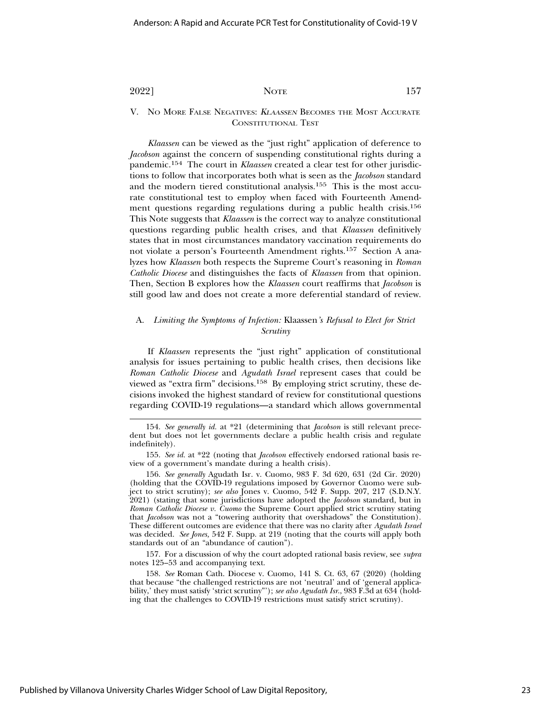V. NO MORE FALSE NEGATIVES: <sup>K</sup>LAASSEN BECOMES THE MOST ACCURATE CONSTITUTIONAL TEST

*Klaassen* can be viewed as the "just right" application of deference to *Jacobson* against the concern of suspending constitutional rights during a pandemic.154 The court in *Klaassen* created a clear test for other jurisdictions to follow that incorporates both what is seen as the *Jacobson* standard and the modern tiered constitutional analysis.155 This is the most accurate constitutional test to employ when faced with Fourteenth Amendment questions regarding regulations during a public health crisis.156 This Note suggests that *Klaassen* is the correct way to analyze constitutional questions regarding public health crises, and that *Klaassen* definitively states that in most circumstances mandatory vaccination requirements do not violate a person's Fourteenth Amendment rights.157 Section A analyzes how *Klaassen* both respects the Supreme Court's reasoning in *Roman Catholic Diocese* and distinguishes the facts of *Klaassen* from that opinion. Then, Section B explores how the *Klaassen* court reaffirms that *Jacobson* is still good law and does not create a more deferential standard of review.

#### A. *Limiting the Symptoms of Infection:* Klaassen*'s Refusal to Elect for Strict Scrutiny*

If *Klaassen* represents the "just right" application of constitutional analysis for issues pertaining to public health crises, then decisions like *Roman Catholic Diocese* and *Agudath Israel* represent cases that could be viewed as "extra firm" decisions.158 By employing strict scrutiny, these decisions invoked the highest standard of review for constitutional questions regarding COVID-19 regulations—a standard which allows governmental

157. For a discussion of why the court adopted rational basis review, see *supra* notes 125–53 and accompanying text.

158. *See* Roman Cath. Diocese v. Cuomo, 141 S. Ct. 63, 67 (2020) (holding that because "the challenged restrictions are not 'neutral' and of 'general applicability,' they must satisfy 'strict scrutiny"'); *see also Agudath Isr*., 983 F.3d at 634 (holding that the challenges to COVID-19 restrictions must satisfy strict scrutiny).

<sup>154.</sup> *See generally id.* at \*21 (determining that *Jacobson* is still relevant precedent but does not let governments declare a public health crisis and regulate indefinitely).

<sup>155.</sup> *See id.* at \*22 (noting that *Jacobson* effectively endorsed rational basis review of a government's mandate during a health crisis).

<sup>156.</sup> *See generally* Agudath Isr. v. Cuomo, 983 F. 3d 620, 631 (2d Cir. 2020) (holding that the COVID-19 regulations imposed by Governor Cuomo were subject to strict scrutiny); *see also* Jones v. Cuomo, 542 F. Supp. 207, 217 (S.D.N.Y. 2021) (stating that some jurisdictions have adopted the *Jacobson* standard, but in *Roman Catholic Diocese v. Cuomo* the Supreme Court applied strict scrutiny stating that *Jacobson* was not a "towering authority that overshadows" the Constitution). These different outcomes are evidence that there was no clarity after *Agudath Israel* was decided. *See Jones,* 542 F. Supp. at 219 (noting that the courts will apply both standards out of an "abundance of caution").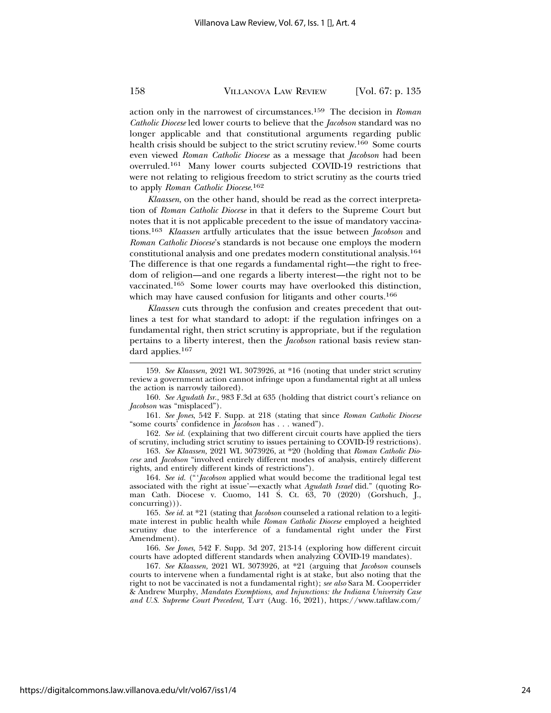action only in the narrowest of circumstances.159 The decision in *Roman Catholic Diocese* led lower courts to believe that the *Jacobson* standard was no longer applicable and that constitutional arguments regarding public health crisis should be subject to the strict scrutiny review.160 Some courts even viewed *Roman Catholic Diocese* as a message that *Jacobson* had been overruled.161 Many lower courts subjected COVID-19 restrictions that were not relating to religious freedom to strict scrutiny as the courts tried to apply *Roman Catholic Diocese*. 162

*Klaassen*, on the other hand, should be read as the correct interpretation of *Roman Catholic Diocese* in that it defers to the Supreme Court but notes that it is not applicable precedent to the issue of mandatory vaccinations.<sup>163</sup> *Klaassen* artfully articulates that the issue between *Jacobson* and *Roman Catholic Diocese*'s standards is not because one employs the modern constitutional analysis and one predates modern constitutional analysis.164 The difference is that one regards a fundamental right—the right to freedom of religion—and one regards a liberty interest—the right not to be vaccinated.165 Some lower courts may have overlooked this distinction, which may have caused confusion for litigants and other courts.<sup>166</sup>

*Klaassen* cuts through the confusion and creates precedent that outlines a test for what standard to adopt: if the regulation infringes on a fundamental right, then strict scrutiny is appropriate, but if the regulation pertains to a liberty interest, then the *Jacobson* rational basis review standard applies.167

161. *See Jones*, 542 F. Supp. at 218 (stating that since *Roman Catholic Diocese* "some courts' confidence in *Jacobson* has . . . waned").

162. *See id.* (explaining that two different circuit courts have applied the tiers of scrutiny, including strict scrutiny to issues pertaining to COVID-19 restrictions).

163. *See Klaassen,* 2021 WL 3073926, at \*20 (holding that *Roman Catholic Diocese* and *Jacobson* "involved entirely different modes of analysis, entirely different rights, and entirely different kinds of restrictions").

164. *See id.* ("'*Jacobson* applied what would become the traditional legal test associated with the right at issue'—exactly what *Agudath Israel* did." (quoting Roman Cath. Diocese v. Cuomo, 141 S. Ct. 63, 70 (2020) (Gorshuch, J., concurring))).

165. *See id.* at \*21 (stating that *Jacobson* counseled a rational relation to a legitimate interest in public health while *Roman Catholic Diocese* employed a heighted scrutiny due to the interference of a fundamental right under the First Amendment).

166. *See Jones,* 542 F. Supp. 3d 207, 213-14 (exploring how different circuit courts have adopted different standards when analyzing COVID-19 mandates).

167. *See Klaassen,* 2021 WL 3073926, at \*21 (arguing that *Jacobson* counsels courts to intervene when a fundamental right is at stake, but also noting that the right to not be vaccinated is not a fundamental right); *see also* Sara M. Cooperrider & Andrew Murphy, *Mandates Exemptions, and Injunctions: the Indiana University Case and U.S. Supreme Court Precedent,* TAFT (Aug. 16, 2021), https://www.taftlaw.com/

<sup>159.</sup> *See Klaassen,* 2021 WL 3073926, at \*16 (noting that under strict scrutiny review a government action cannot infringe upon a fundamental right at all unless the action is narrowly tailored).

<sup>160.</sup> *See Agudath Isr.,* 983 F.3d at 635 (holding that district court's reliance on *Jacobson* was "misplaced").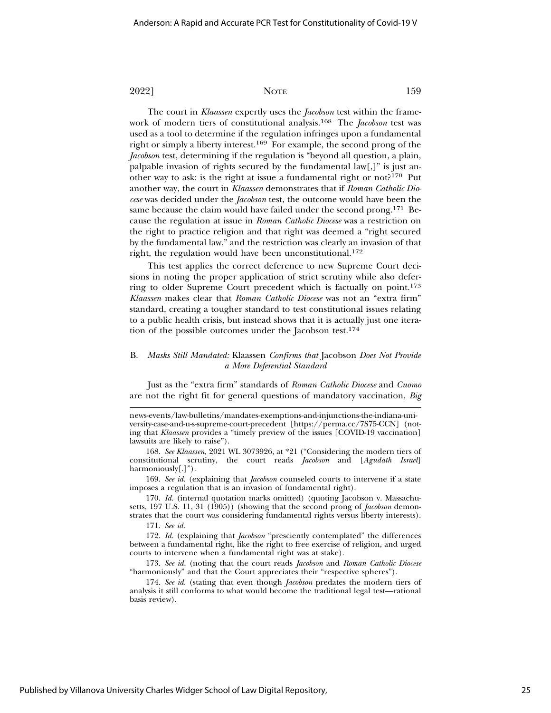The court in *Klaassen* expertly uses the *Jacobson* test within the framework of modern tiers of constitutional analysis.168 The *Jacobson* test was used as a tool to determine if the regulation infringes upon a fundamental right or simply a liberty interest.169 For example, the second prong of the *Jacobson* test, determining if the regulation is "beyond all question, a plain, palpable invasion of rights secured by the fundamental law[,]" is just another way to ask: is the right at issue a fundamental right or not?170 Put another way, the court in *Klaassen* demonstrates that if *Roman Catholic Diocese* was decided under the *Jacobson* test, the outcome would have been the same because the claim would have failed under the second prong.<sup>171</sup> Because the regulation at issue in *Roman Catholic Diocese* was a restriction on the right to practice religion and that right was deemed a "right secured by the fundamental law," and the restriction was clearly an invasion of that right, the regulation would have been unconstitutional.172

This test applies the correct deference to new Supreme Court decisions in noting the proper application of strict scrutiny while also deferring to older Supreme Court precedent which is factually on point.173 *Klaassen* makes clear that *Roman Catholic Diocese* was not an "extra firm" standard, creating a tougher standard to test constitutional issues relating to a public health crisis, but instead shows that it is actually just one iteration of the possible outcomes under the Jacobson test.174

#### B. *Masks Still Mandated:* Klaassen *Confirms that* Jacobson *Does Not Provide a More Deferential Standard*

Just as the "extra firm" standards of *Roman Catholic Diocese* and *Cuomo* are not the right fit for general questions of mandatory vaccination, *Big*

news-events/law-bulletins/mandates-exemptions-and-injunctions-the-indiana-university-case-and-u-s-supreme-court-precedent [https://perma.cc/7S75-CCN] (noting that *Klaassen* provides a "timely preview of the issues [COVID-19 vaccination] lawsuits are likely to raise").

168. *See Klaassen,* 2021 WL 3073926, at \*21 ("Considering the modern tiers of constitutional scrutiny, the court reads *Jacobson* and [*Agudath Israel*] harmoniously[.]").

169. *See id.* (explaining that *Jacobson* counseled courts to intervene if a state imposes a regulation that is an invasion of fundamental right).

170. *Id.* (internal quotation marks omitted) (quoting Jacobson v. Massachusetts, 197 U.S. 11, 31 (1905)) (showing that the second prong of *Jacobson* demonstrates that the court was considering fundamental rights versus liberty interests).

171. *See id.*

172. *Id.* (explaining that *Jacobson* "presciently contemplated" the differences between a fundamental right, like the right to free exercise of religion, and urged courts to intervene when a fundamental right was at stake).

173. *See id.* (noting that the court reads *Jacobson* and *Roman Catholic Diocese* "harmoniously" and that the Court appreciates their "respective spheres").

174. *See id.* (stating that even though *Jacobson* predates the modern tiers of analysis it still conforms to what would become the traditional legal test—rational basis review).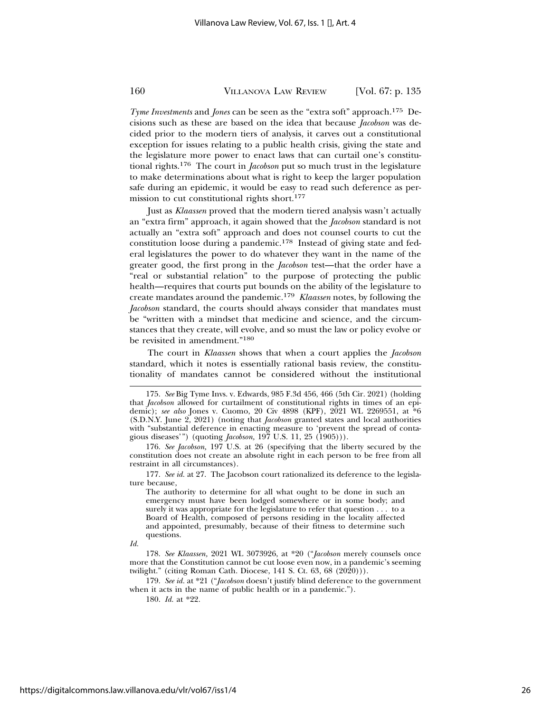*Tyme Investments* and *Jones* can be seen as the "extra soft" approach.175 Decisions such as these are based on the idea that because *Jacobson* was decided prior to the modern tiers of analysis, it carves out a constitutional exception for issues relating to a public health crisis, giving the state and the legislature more power to enact laws that can curtail one's constitutional rights.176 The court in *Jacobson* put so much trust in the legislature to make determinations about what is right to keep the larger population safe during an epidemic, it would be easy to read such deference as permission to cut constitutional rights short.177

Just as *Klaassen* proved that the modern tiered analysis wasn't actually an "extra firm" approach, it again showed that the *Jacobson* standard is not actually an "extra soft" approach and does not counsel courts to cut the constitution loose during a pandemic.178 Instead of giving state and federal legislatures the power to do whatever they want in the name of the greater good, the first prong in the *Jacobson* test—that the order have a "real or substantial relation" to the purpose of protecting the public health—requires that courts put bounds on the ability of the legislature to create mandates around the pandemic.179 *Klaassen* notes, by following the *Jacobson* standard, the courts should always consider that mandates must be "written with a mindset that medicine and science, and the circumstances that they create, will evolve, and so must the law or policy evolve or be revisited in amendment."180

The court in *Klaassen* shows that when a court applies the *Jacobson* standard, which it notes is essentially rational basis review, the constitutionality of mandates cannot be considered without the institutional

The authority to determine for all what ought to be done in such an emergency must have been lodged somewhere or in some body; and surely it was appropriate for the legislature to refer that question . . . to a Board of Health, composed of persons residing in the locality affected and appointed, presumably, because of their fitness to determine such questions.

*Id.*

178. *See Klaassen,* 2021 WL 3073926, at \*20 ("*Jacobson* merely counsels once more that the Constitution cannot be cut loose even now, in a pandemic's seeming twilight." (citing Roman Cath. Diocese, 141 S. Ct. 63, 68 (2020))).

179. *See id.* at \*21 ("*Jacobson* doesn't justify blind deference to the government when it acts in the name of public health or in a pandemic.").

180. *Id.* at \*22.

<sup>175.</sup> *See* Big Tyme Invs. v. Edwards, 985 F.3d 456, 466 (5th Cir. 2021) (holding that *Jacobson* allowed for curtailment of constitutional rights in times of an epidemic); see also Jones v. Cuomo, 20 Civ 4898 (KPF), 2021 WL 2269551, at <sup>\*6</sup>6 (S.D.N.Y. June 2, 2021) (noting that *Jacobson* granted states and local authorities with "substantial deference in enacting measure to 'prevent the spread of contagious diseases'") (quoting *Jacobson,* 197 U.S. 11, 25 (1905))).

<sup>176.</sup> *See Jacobson,* 197 U.S. at 26 (specifying that the liberty secured by the constitution does not create an absolute right in each person to be free from all restraint in all circumstances).

<sup>177.</sup> *See id.* at 27. The Jacobson court rationalized its deference to the legislature because,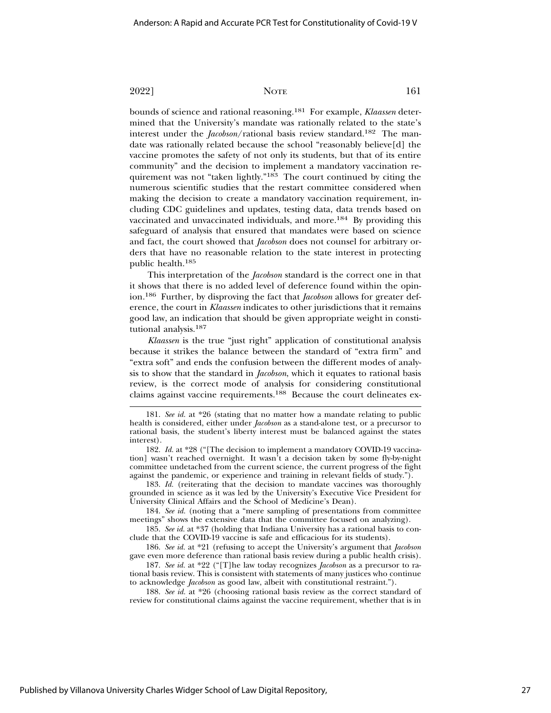bounds of science and rational reasoning.181 For example, *Klaassen* determined that the University's mandate was rationally related to the state's interest under the *Jacobson*/rational basis review standard.182 The mandate was rationally related because the school "reasonably believe[d] the vaccine promotes the safety of not only its students, but that of its entire community" and the decision to implement a mandatory vaccination requirement was not "taken lightly."183 The court continued by citing the numerous scientific studies that the restart committee considered when making the decision to create a mandatory vaccination requirement, including CDC guidelines and updates, testing data, data trends based on vaccinated and unvaccinated individuals, and more.184 By providing this safeguard of analysis that ensured that mandates were based on science and fact, the court showed that *Jacobson* does not counsel for arbitrary orders that have no reasonable relation to the state interest in protecting public health.185

This interpretation of the *Jacobson* standard is the correct one in that it shows that there is no added level of deference found within the opinion.186 Further, by disproving the fact that *Jacobson* allows for greater deference, the court in *Klaassen* indicates to other jurisdictions that it remains good law, an indication that should be given appropriate weight in constitutional analysis.187

*Klaassen* is the true "just right" application of constitutional analysis because it strikes the balance between the standard of "extra firm" and "extra soft" and ends the confusion between the different modes of analysis to show that the standard in *Jacobson*, which it equates to rational basis review, is the correct mode of analysis for considering constitutional claims against vaccine requirements.188 Because the court delineates ex-

183. *Id.* (reiterating that the decision to mandate vaccines was thoroughly grounded in science as it was led by the University's Executive Vice President for University Clinical Affairs and the School of Medicine's Dean).

184. *See id.* (noting that a "mere sampling of presentations from committee meetings" shows the extensive data that the committee focused on analyzing).

185. *See id.* at \*37 (holding that Indiana University has a rational basis to conclude that the COVID-19 vaccine is safe and efficacious for its students).

186. *See id.* at \*21 (refusing to accept the University's argument that *Jacobson* gave even more deference than rational basis review during a public health crisis).

187. *See id.* at \*22 ("[T]he law today recognizes *Jacobson* as a precursor to rational basis review. This is consistent with statements of many justices who continue to acknowledge *Jacobson* as good law, albeit with constitutional restraint.").

188. *See id.* at \*26 (choosing rational basis review as the correct standard of review for constitutional claims against the vaccine requirement, whether that is in

<sup>181.</sup> *See id.* at \*26 (stating that no matter how a mandate relating to public health is considered, either under *Jacobson* as a stand-alone test, or a precursor to rational basis, the student's liberty interest must be balanced against the states interest).

<sup>182.</sup> *Id.* at \*28 ("[The decision to implement a mandatory COVID-19 vaccination] wasn't reached overnight. It wasn't a decision taken by some fly-by-night committee undetached from the current science, the current progress of the fight against the pandemic, or experience and training in relevant fields of study.").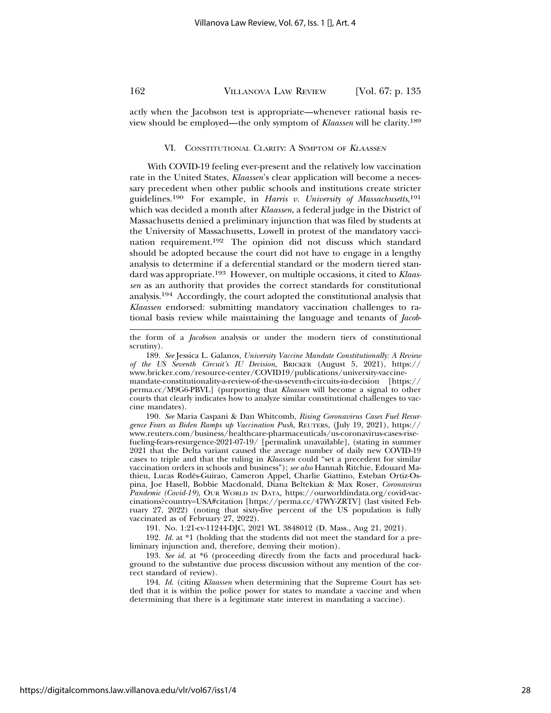actly when the Jacobson test is appropriate—whenever rational basis review should be employed—the only symptom of *Klaassen* will be clarity.189

#### VI. CONSTITUTIONAL CLARITY: A SYMPTOM OF <sup>K</sup>LAASSEN

With COVID-19 feeling ever-present and the relatively low vaccination rate in the United States, *Klaassen*'s clear application will become a necessary precedent when other public schools and institutions create stricter guidelines.190 For example, in *Harris v. University of Massachusetts*, 191 which was decided a month after *Klaassen*, a federal judge in the District of Massachusetts denied a preliminary injunction that was filed by students at the University of Massachusetts, Lowell in protest of the mandatory vaccination requirement.192 The opinion did not discuss which standard should be adopted because the court did not have to engage in a lengthy analysis to determine if a deferential standard or the modern tiered standard was appropriate.193 However, on multiple occasions, it cited to *Klaassen* as an authority that provides the correct standards for constitutional analysis.194 Accordingly, the court adopted the constitutional analysis that *Klaassen* endorsed: submitting mandatory vaccination challenges to rational basis review while maintaining the language and tenants of *Jacob-*

189. *See* Jessica L. Galanos, *University Vaccine Mandate Constitutionally: A Review of the US Seventh Circuit's IU Decision,* BRICKER (August 5, 2021), https:// www.bricker.com/resource-center/COVID19/publications/university-vaccinemandate-constitutionality-a-review-of-the-us-seventh-circuits-iu-decision [https:// perma.cc/M9G6-PBVL] (purporting that *Klaassen* will become a signal to other courts that clearly indicates how to analyze similar constitutional challenges to vaccine mandates).

190. *See* Maria Caspani & Dan Whitcomb, *Rising Coronavirus Cases Fuel Resurgence Fears as Biden Ramps up Vaccination Push,* REUTERS, (July 19, 2021), https:// www.reuters.com/business/healthcare-pharmaceuticals/us-coronavirus-cases-risefueling-fears-resurgence-2021-07-19/ [permalink unavailable], (stating in summer 2021 that the Delta variant caused the average number of daily new COVID-19 cases to triple and that the ruling in *Klaassen* could "set a precedent for similar vaccination orders in schools and business"); *see also* Hannah Ritchie, Edouard Mathieu, Lucas Rodes-Guirao, Cameron Appel, Charlie Giattino, Esteban Ortiz-Os- ´ pina, Joe Hasell, Bobbie Macdonald, Diana Beltekian & Max Roser, *Coronavirus Pandemic (Covid-19),* OUR WORLD IN DATA, https://ourworldindata.org/covid-vaccinations?country=USA#citation [https://perma.cc/47WY-ZRTV] (last visited February 27, 2022) (noting that sixty-five percent of the US population is fully vaccinated as of February 27, 2022).

191. No. 1:21-cv-11244-DJC, 2021 WL 3848012 (D. Mass., Aug 21, 2021).

192. *Id.* at \*1 (holding that the students did not meet the standard for a preliminary injunction and, therefore, denying their motion).

193. *See id.* at \*6 (proceeding directly from the facts and procedural background to the substantive due process discussion without any mention of the correct standard of review).

194. *Id.* (citing *Klaassen* when determining that the Supreme Court has settled that it is within the police power for states to mandate a vaccine and when determining that there is a legitimate state interest in mandating a vaccine).

the form of a *Jacobson* analysis or under the modern tiers of constitutional scrutiny).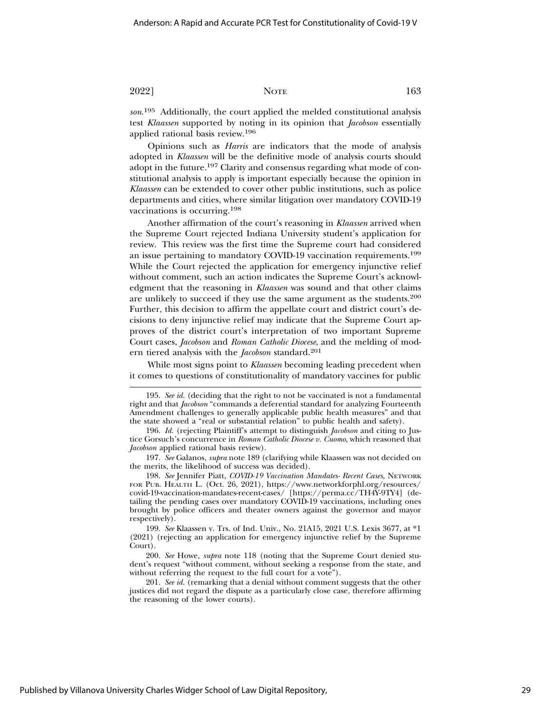*son*. 195 Additionally, the court applied the melded constitutional analysis test *Klaassen* supported by noting in its opinion that *Jacobson* essentially applied rational basis review.196

Opinions such as *Harris* are indicators that the mode of analysis adopted in *Klaassen* will be the definitive mode of analysis courts should adopt in the future.197 Clarity and consensus regarding what mode of constitutional analysis to apply is important especially because the opinion in *Klaassen* can be extended to cover other public institutions, such as police departments and cities, where similar litigation over mandatory COVID-19 vaccinations is occurring.198

Another affirmation of the court's reasoning in *Klaassen* arrived when the Supreme Court rejected Indiana University student's application for review. This review was the first time the Supreme court had considered an issue pertaining to mandatory COVID-19 vaccination requirements.199 While the Court rejected the application for emergency injunctive relief without comment, such an action indicates the Supreme Court's acknowledgment that the reasoning in *Klaassen* was sound and that other claims are unlikely to succeed if they use the same argument as the students.200 Further, this decision to affirm the appellate court and district court's decisions to deny injunctive relief may indicate that the Supreme Court approves of the district court's interpretation of two important Supreme Court cases, *Jacobson* and *Roman Catholic Diocese*, and the melding of modern tiered analysis with the *Jacobson* standard.201

While most signs point to *Klaassen* becoming leading precedent when it comes to questions of constitutionality of mandatory vaccines for public

<sup>195.</sup> *See id.* (deciding that the right to not be vaccinated is not a fundamental right and that *Jacobson* "commands a deferential standard for analyzing Fourteenth Amendment challenges to generally applicable public health measures" and that the state showed a "real or substantial relation" to public health and safety).

<sup>196.</sup> *Id.* (rejecting Plaintiff's attempt to distinguish *Jacobson* and citing to Justice Gorsuch's concurrence in *Roman Catholic Diocese v. Cuomo*, which reasoned that *Jacobson* applied rational basis review).

<sup>197.</sup> *See* Galanos, *supra* note 189 (clarifying while Klaassen was not decided on the merits, the likelihood of success was decided).

<sup>198.</sup> *See* Jennifer Piatt, *COVID-19 Vaccination Mandates- Recent Cases,* NETWORK FOR PUB. HEALTH L. (Oct. 26, 2021), https://www.networkforphl.org/resources/ covid-19-vaccination-mandates-recent-cases/ [https://perma.cc/TH4Y-9TY4] (detailing the pending cases over mandatory COVID-19 vaccinations, including ones brought by police officers and theater owners against the governor and mayor respectively).

<sup>199.</sup> *See* Klaassen v. Trs. of Ind. Univ., No. 21A15, 2021 U.S. Lexis 3677, at \*1 (2021) (rejecting an application for emergency injunctive relief by the Supreme Court).

<sup>200.</sup> *See* Howe, *supra* note 118 (noting that the Supreme Court denied student's request "without comment, without seeking a response from the state, and without referring the request to the full court for a vote").

<sup>201.</sup> *See id.* (remarking that a denial without comment suggests that the other justices did not regard the dispute as a particularly close case, therefore affirming the reasoning of the lower courts).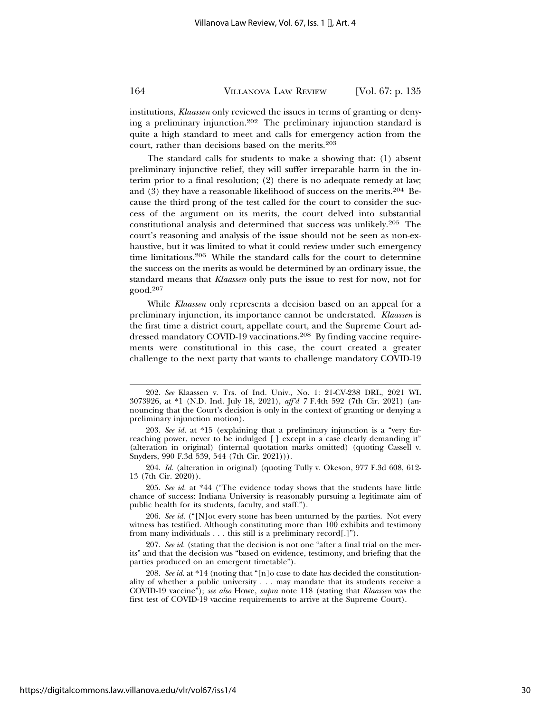institutions, *Klaassen* only reviewed the issues in terms of granting or denying a preliminary injunction.202 The preliminary injunction standard is quite a high standard to meet and calls for emergency action from the court, rather than decisions based on the merits.203

The standard calls for students to make a showing that: (1) absent preliminary injunctive relief, they will suffer irreparable harm in the interim prior to a final resolution; (2) there is no adequate remedy at law; and (3) they have a reasonable likelihood of success on the merits.204 Because the third prong of the test called for the court to consider the success of the argument on its merits, the court delved into substantial constitutional analysis and determined that success was unlikely.205 The court's reasoning and analysis of the issue should not be seen as non-exhaustive, but it was limited to what it could review under such emergency time limitations.206 While the standard calls for the court to determine the success on the merits as would be determined by an ordinary issue, the standard means that *Klaassen* only puts the issue to rest for now, not for good.<sup>207</sup>

While *Klaassen* only represents a decision based on an appeal for a preliminary injunction, its importance cannot be understated. *Klaassen* is the first time a district court, appellate court, and the Supreme Court addressed mandatory COVID-19 vaccinations.208 By finding vaccine requirements were constitutional in this case, the court created a greater challenge to the next party that wants to challenge mandatory COVID-19

205. *See id.* at \*44 ("The evidence today shows that the students have little chance of success: Indiana University is reasonably pursuing a legitimate aim of public health for its students, faculty, and staff.").

206. *See id.* ("[N]ot every stone has been unturned by the parties. Not every witness has testified. Although constituting more than 100 exhibits and testimony from many individuals . . . this still is a preliminary record[.]").

207. *See id.* (stating that the decision is not one "after a final trial on the merits" and that the decision was "based on evidence, testimony, and briefing that the parties produced on an emergent timetable").

208. *See id.* at \*14 (noting that "[n]o case to date has decided the constitutionality of whether a public university . . . may mandate that its students receive a COVID-19 vaccine"); *see also* Howe, *supra* note 118 (stating that *Klaassen* was the first test of COVID-19 vaccine requirements to arrive at the Supreme Court).

<sup>202.</sup> *See* Klaassen v. Trs. of Ind. Univ., No. 1: 21-CV-238 DRL, 2021 WL 3073926, at \*1 (N.D. Ind. July 18, 2021), *aff'd 7* F.4th 592 (7th Cir. 2021) (announcing that the Court's decision is only in the context of granting or denying a preliminary injunction motion).

<sup>203.</sup> *See id.* at \*15 (explaining that a preliminary injunction is a "very farreaching power, never to be indulged [ ] except in a case clearly demanding it" (alteration in original) (internal quotation marks omitted) (quoting Cassell v. Snyders, 990 F.3d 539, 544 (7th Cir. 2021))).

<sup>204.</sup> *Id.* (alteration in original) (quoting Tully v. Okeson, 977 F.3d 608, 612- 13 (7th Cir. 2020)).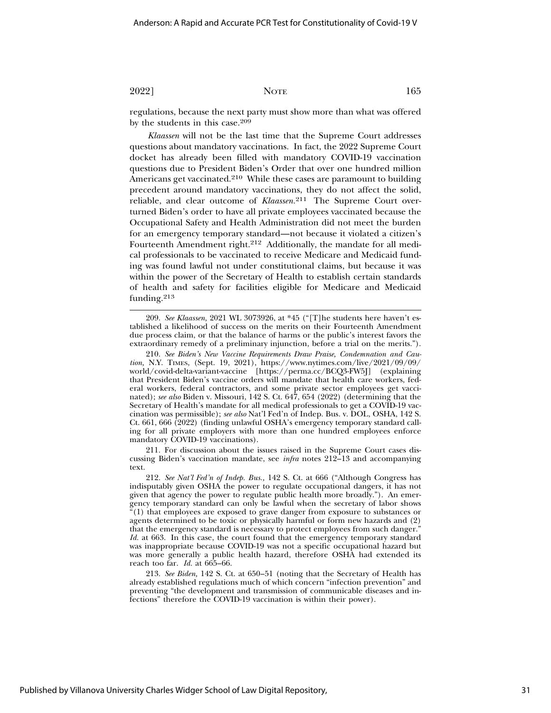regulations, because the next party must show more than what was offered by the students in this case.209

*Klaassen* will not be the last time that the Supreme Court addresses questions about mandatory vaccinations. In fact, the 2022 Supreme Court docket has already been filled with mandatory COVID-19 vaccination questions due to President Biden's Order that over one hundred million Americans get vaccinated.210 While these cases are paramount to building precedent around mandatory vaccinations, they do not affect the solid, reliable, and clear outcome of *Klaassen.*211 The Supreme Court overturned Biden's order to have all private employees vaccinated because the Occupational Safety and Health Administration did not meet the burden for an emergency temporary standard—not because it violated a citizen's Fourteenth Amendment right.212 Additionally, the mandate for all medical professionals to be vaccinated to receive Medicare and Medicaid funding was found lawful not under constitutional claims, but because it was within the power of the Secretary of Health to establish certain standards of health and safety for facilities eligible for Medicare and Medicaid funding.<sup>213</sup>

209. *See Klaassen,* 2021 WL 3073926, at \*45 ("[T]he students here haven't established a likelihood of success on the merits on their Fourteenth Amendment due process claim, or that the balance of harms or the public's interest favors the extraordinary remedy of a preliminary injunction, before a trial on the merits.").

210. *See Biden's New Vaccine Requirements Draw Praise, Condemnation and Caution,* N.Y. TIMES, (Sept. 19, 2021), https://www.nytimes.com/live/2021/09/09/ world/covid-delta-variant-vaccine [https://perma.cc/BCQ3-FW5J] (explaining that President Biden's vaccine orders will mandate that health care workers, federal workers, federal contractors, and some private sector employees get vaccinated); *see also* Biden v. Missouri, 142 S. Ct. 647, 654 (2022) (determining that the Secretary of Health's mandate for all medical professionals to get a COVID-19 vaccination was permissible); *see also* Nat'l Fed'n of Indep. Bus. v. DOL, OSHA, 142 S. Ct. 661, 666 (2022) (finding unlawful OSHA's emergency temporary standard calling for all private employers with more than one hundred employees enforce mandatory COVID-19 vaccinations).

211. For discussion about the issues raised in the Supreme Court cases discussing Biden's vaccination mandate, see *infra* notes 212–13 and accompanying text.

212. *See Nat'l Fed'n of Indep. Bus.,* 142 S. Ct. at 666 ("Although Congress has indisputably given OSHA the power to regulate occupational dangers, it has not given that agency the power to regulate public health more broadly."). An emergency temporary standard can only be lawful when the secretary of labor shows "(1) that employees are exposed to grave danger from exposure to substances or agents determined to be toxic or physically harmful or form new hazards and (2) that the emergency standard is necessary to protect employees from such danger." *Id.* at 663. In this case, the court found that the emergency temporary standard was inappropriate because COVID-19 was not a specific occupational hazard but was more generally a public health hazard, therefore OSHA had extended its reach too far. *Id.* at 665–66.

213. *See Biden,* 142 S. Ct. at 650–51 (noting that the Secretary of Health has already established regulations much of which concern "infection prevention" and preventing "the development and transmission of communicable diseases and infections" therefore the COVID-19 vaccination is within their power).